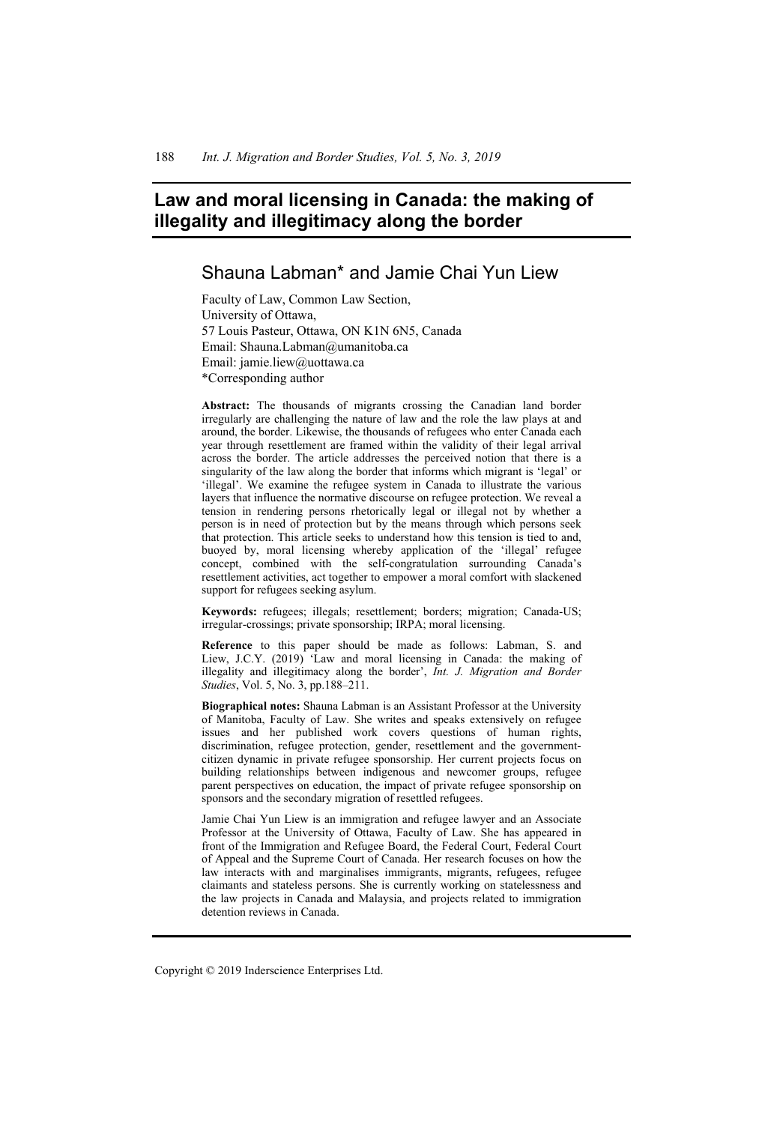# **Law and moral licensing in Canada: the making of illegality and illegitimacy along the border**

## Shauna Labman\* and Jamie Chai Yun Liew

Faculty of Law, Common Law Section, University of Ottawa, 57 Louis Pasteur, Ottawa, ON K1N 6N5, Canada Email: Shauna.Labman@umanitoba.ca Email: jamie.liew@uottawa.ca \*Corresponding author

**Abstract:** The thousands of migrants crossing the Canadian land border irregularly are challenging the nature of law and the role the law plays at and around, the border. Likewise, the thousands of refugees who enter Canada each year through resettlement are framed within the validity of their legal arrival across the border. The article addresses the perceived notion that there is a singularity of the law along the border that informs which migrant is 'legal' or 'illegal'. We examine the refugee system in Canada to illustrate the various layers that influence the normative discourse on refugee protection. We reveal a tension in rendering persons rhetorically legal or illegal not by whether a person is in need of protection but by the means through which persons seek that protection. This article seeks to understand how this tension is tied to and, buoyed by, moral licensing whereby application of the 'illegal' refugee concept, combined with the self-congratulation surrounding Canada's resettlement activities, act together to empower a moral comfort with slackened support for refugees seeking asylum.

**Keywords:** refugees; illegals; resettlement; borders; migration; Canada-US; irregular-crossings; private sponsorship; IRPA; moral licensing.

**Reference** to this paper should be made as follows: Labman, S. and Liew, J.C.Y. (2019) 'Law and moral licensing in Canada: the making of illegality and illegitimacy along the border', *Int. J. Migration and Border Studies*, Vol. 5, No. 3, pp.188–211.

**Biographical notes:** Shauna Labman is an Assistant Professor at the University of Manitoba, Faculty of Law. She writes and speaks extensively on refugee issues and her published work covers questions of human rights, discrimination, refugee protection, gender, resettlement and the governmentcitizen dynamic in private refugee sponsorship. Her current projects focus on building relationships between indigenous and newcomer groups, refugee parent perspectives on education, the impact of private refugee sponsorship on sponsors and the secondary migration of resettled refugees.

Jamie Chai Yun Liew is an immigration and refugee lawyer and an Associate Professor at the University of Ottawa, Faculty of Law. She has appeared in front of the Immigration and Refugee Board, the Federal Court, Federal Court of Appeal and the Supreme Court of Canada. Her research focuses on how the law interacts with and marginalises immigrants, migrants, refugees, refugee claimants and stateless persons. She is currently working on statelessness and the law projects in Canada and Malaysia, and projects related to immigration detention reviews in Canada.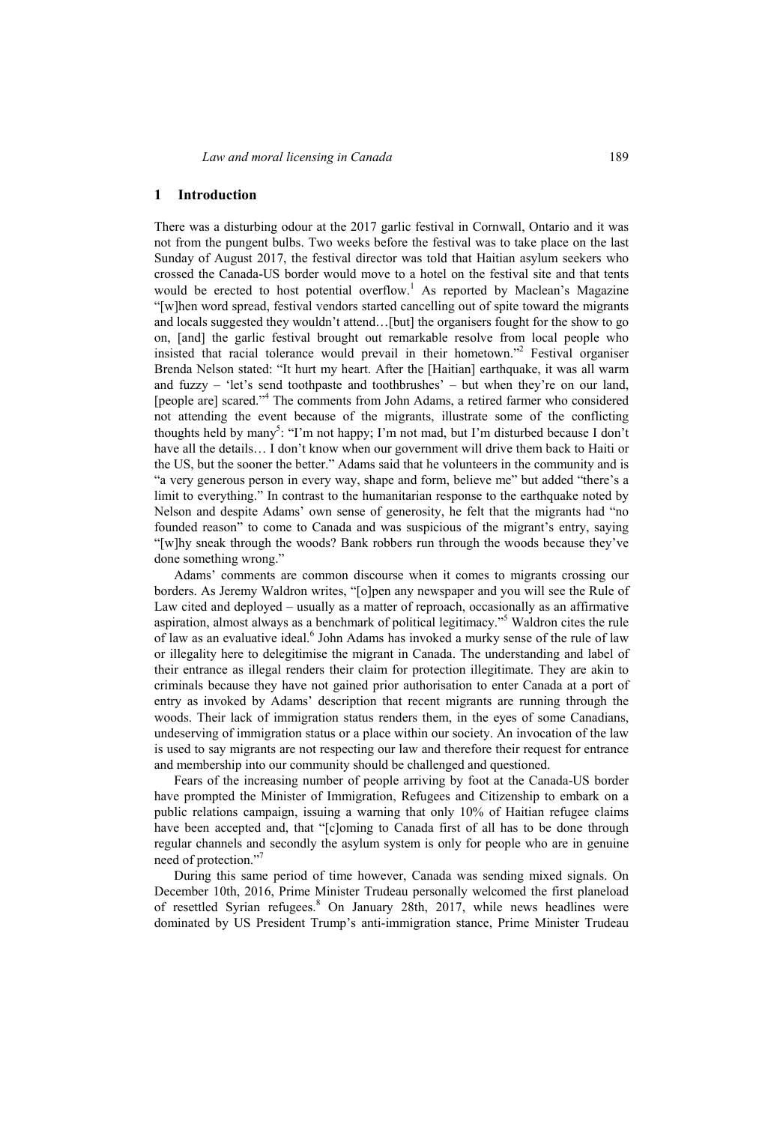## **1 Introduction**

There was a disturbing odour at the 2017 garlic festival in Cornwall, Ontario and it was not from the pungent bulbs. Two weeks before the festival was to take place on the last Sunday of August 2017, the festival director was told that Haitian asylum seekers who crossed the Canada-US border would move to a hotel on the festival site and that tents would be erected to host potential overflow.<sup>1</sup> As reported by Maclean's Magazine "[w]hen word spread, festival vendors started cancelling out of spite toward the migrants and locals suggested they wouldn't attend…[but] the organisers fought for the show to go on, [and] the garlic festival brought out remarkable resolve from local people who insisted that racial tolerance would prevail in their hometown." 2 Festival organiser Brenda Nelson stated: "It hurt my heart. After the [Haitian] earthquake, it was all warm and fuzzy – 'let's send toothpaste and toothbrushes' – but when they're on our land, [people are] scared."<sup>4</sup> The comments from John Adams, a retired farmer who considered not attending the event because of the migrants, illustrate some of the conflicting thoughts held by many<sup>5</sup>: "I'm not happy; I'm not mad, but I'm disturbed because I don't have all the details… I don't know when our government will drive them back to Haiti or the US, but the sooner the better." Adams said that he volunteers in the community and is "a very generous person in every way, shape and form, believe me" but added "there's a limit to everything." In contrast to the humanitarian response to the earthquake noted by Nelson and despite Adams' own sense of generosity, he felt that the migrants had "no founded reason" to come to Canada and was suspicious of the migrant's entry, saying "[w]hy sneak through the woods? Bank robbers run through the woods because they've done something wrong."

Adams' comments are common discourse when it comes to migrants crossing our borders. As Jeremy Waldron writes, "[o]pen any newspaper and you will see the Rule of Law cited and deployed – usually as a matter of reproach, occasionally as an affirmative aspiration, almost always as a benchmark of political legitimacy."<sup>5</sup> Waldron cites the rule of law as an evaluative ideal.<sup>6</sup> John Adams has invoked a murky sense of the rule of law or illegality here to delegitimise the migrant in Canada. The understanding and label of their entrance as illegal renders their claim for protection illegitimate. They are akin to criminals because they have not gained prior authorisation to enter Canada at a port of entry as invoked by Adams' description that recent migrants are running through the woods. Their lack of immigration status renders them, in the eyes of some Canadians, undeserving of immigration status or a place within our society. An invocation of the law is used to say migrants are not respecting our law and therefore their request for entrance and membership into our community should be challenged and questioned.

Fears of the increasing number of people arriving by foot at the Canada-US border have prompted the Minister of Immigration, Refugees and Citizenship to embark on a public relations campaign, issuing a warning that only 10% of Haitian refugee claims have been accepted and, that "[c]oming to Canada first of all has to be done through regular channels and secondly the asylum system is only for people who are in genuine need of protection."<sup>7</sup>

During this same period of time however, Canada was sending mixed signals. On December 10th, 2016, Prime Minister Trudeau personally welcomed the first planeload of resettled Syrian refugees.<sup>8</sup> On January 28th, 2017, while news headlines were dominated by US President Trump's anti-immigration stance, Prime Minister Trudeau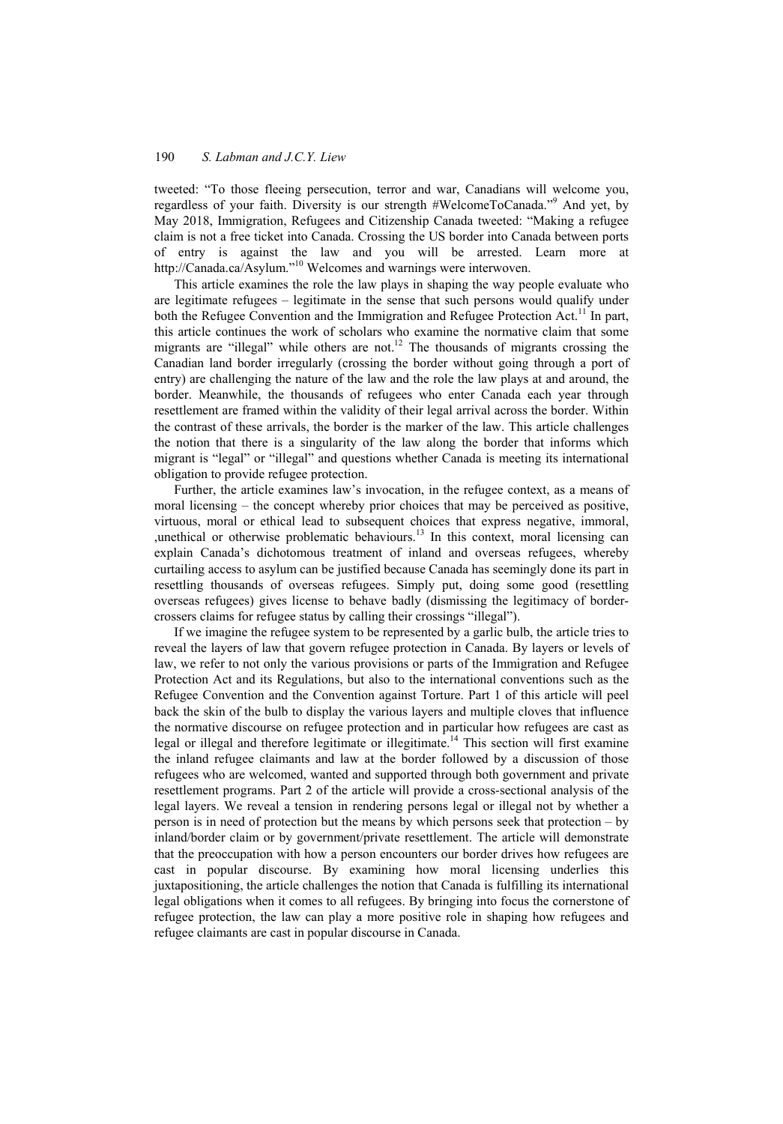tweeted: "To those fleeing persecution, terror and war, Canadians will welcome you, regardless of your faith. Diversity is our strength #WelcomeToCanada."9 And yet, by May 2018, Immigration, Refugees and Citizenship Canada tweeted: "Making a refugee claim is not a free ticket into Canada. Crossing the US border into Canada between ports of entry is against the law and you will be arrested. Learn more at http://Canada.ca/Asylum."<sup>10</sup> Welcomes and warnings were interwoven.

This article examines the role the law plays in shaping the way people evaluate who are legitimate refugees – legitimate in the sense that such persons would qualify under both the Refugee Convention and the Immigration and Refugee Protection Act.<sup>11</sup> In part, this article continues the work of scholars who examine the normative claim that some migrants are "illegal" while others are not.<sup>12</sup> The thousands of migrants crossing the Canadian land border irregularly (crossing the border without going through a port of entry) are challenging the nature of the law and the role the law plays at and around, the border. Meanwhile, the thousands of refugees who enter Canada each year through resettlement are framed within the validity of their legal arrival across the border. Within the contrast of these arrivals, the border is the marker of the law. This article challenges the notion that there is a singularity of the law along the border that informs which migrant is "legal" or "illegal" and questions whether Canada is meeting its international obligation to provide refugee protection.

Further, the article examines law's invocation, in the refugee context, as a means of moral licensing  $-$  the concept whereby prior choices that may be perceived as positive, virtuous, moral or ethical lead to subsequent choices that express negative, immoral, ,unethical or otherwise problematic behaviours.<sup>13</sup> In this context, moral licensing can explain Canada's dichotomous treatment of inland and overseas refugees, whereby curtailing access to asylum can be justified because Canada has seemingly done its part in resettling thousands of overseas refugees. Simply put, doing some good (resettling overseas refugees) gives license to behave badly (dismissing the legitimacy of bordercrossers claims for refugee status by calling their crossings "illegal").

If we imagine the refugee system to be represented by a garlic bulb, the article tries to reveal the layers of law that govern refugee protection in Canada. By layers or levels of law, we refer to not only the various provisions or parts of the Immigration and Refugee Protection Act and its Regulations, but also to the international conventions such as the Refugee Convention and the Convention against Torture. Part 1 of this article will peel back the skin of the bulb to display the various layers and multiple cloves that influence the normative discourse on refugee protection and in particular how refugees are cast as legal or illegal and therefore legitimate or illegitimate.14 This section will first examine the inland refugee claimants and law at the border followed by a discussion of those refugees who are welcomed, wanted and supported through both government and private resettlement programs. Part 2 of the article will provide a cross-sectional analysis of the legal layers. We reveal a tension in rendering persons legal or illegal not by whether a person is in need of protection but the means by which persons seek that protection – by inland/border claim or by government/private resettlement. The article will demonstrate that the preoccupation with how a person encounters our border drives how refugees are cast in popular discourse. By examining how moral licensing underlies this juxtapositioning, the article challenges the notion that Canada is fulfilling its international legal obligations when it comes to all refugees. By bringing into focus the cornerstone of refugee protection, the law can play a more positive role in shaping how refugees and refugee claimants are cast in popular discourse in Canada.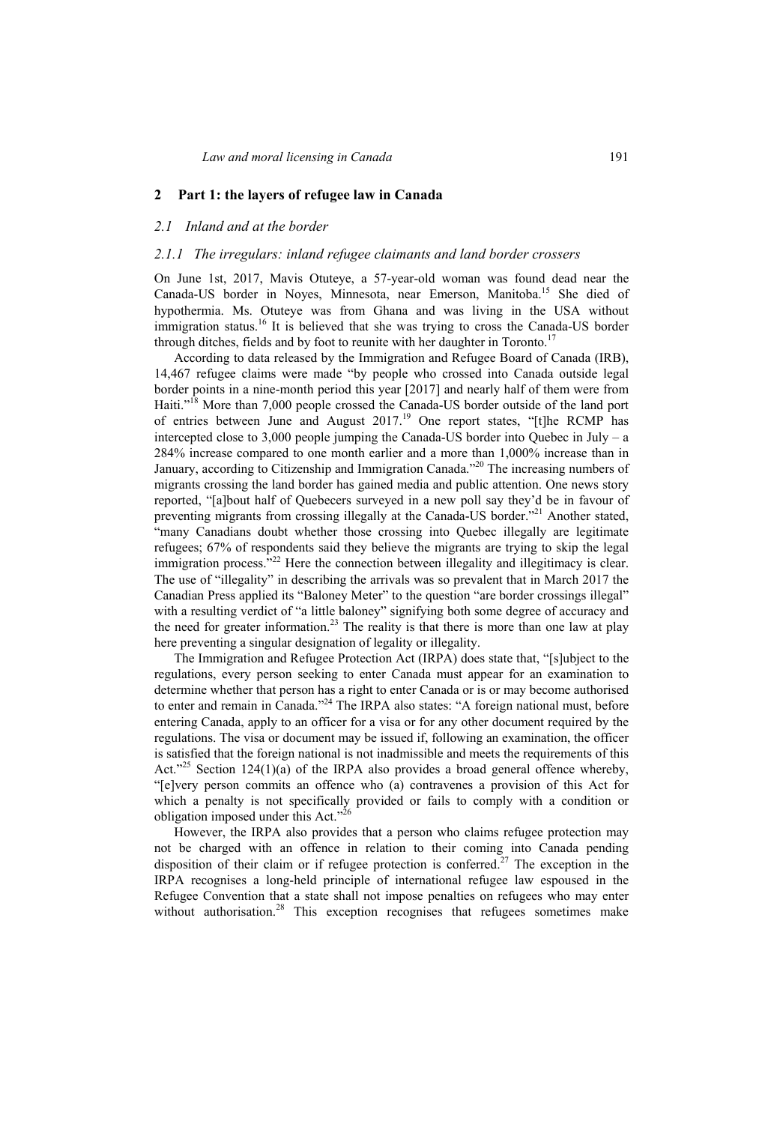## **2 Part 1: the layers of refugee law in Canada**

## *2.1 Inland and at the border*

#### *2.1.1 The irregulars: inland refugee claimants and land border crossers*

On June 1st, 2017, Mavis Otuteye, a 57-year-old woman was found dead near the Canada-US border in Noyes, Minnesota, near Emerson, Manitoba.15 She died of hypothermia. Ms. Otuteye was from Ghana and was living in the USA without immigration status.<sup>16</sup> It is believed that she was trying to cross the Canada-US border through ditches, fields and by foot to reunite with her daughter in Toronto.<sup>17</sup>

According to data released by the Immigration and Refugee Board of Canada (IRB), 14,467 refugee claims were made "by people who crossed into Canada outside legal border points in a nine-month period this year [2017] and nearly half of them were from Haiti."18 More than 7,000 people crossed the Canada-US border outside of the land port of entries between June and August 2017.<sup>19</sup> One report states, "[t]he RCMP has intercepted close to 3,000 people jumping the Canada-US border into Quebec in July – a 284% increase compared to one month earlier and a more than 1,000% increase than in January, according to Citizenship and Immigration Canada."<sup>20</sup> The increasing numbers of migrants crossing the land border has gained media and public attention. One news story reported, "[a]bout half of Quebecers surveyed in a new poll say they'd be in favour of preventing migrants from crossing illegally at the Canada-US border."<sup>21</sup> Another stated, "many Canadians doubt whether those crossing into Quebec illegally are legitimate refugees; 67% of respondents said they believe the migrants are trying to skip the legal immigration process. $^{322}$  Here the connection between illegality and illegitimacy is clear. The use of "illegality" in describing the arrivals was so prevalent that in March 2017 the Canadian Press applied its "Baloney Meter" to the question "are border crossings illegal" with a resulting verdict of "a little baloney" signifying both some degree of accuracy and the need for greater information.<sup>23</sup> The reality is that there is more than one law at play here preventing a singular designation of legality or illegality.

The Immigration and Refugee Protection Act (IRPA) does state that, "[s]ubject to the regulations, every person seeking to enter Canada must appear for an examination to determine whether that person has a right to enter Canada or is or may become authorised to enter and remain in Canada."<sup>24</sup> The IRPA also states: "A foreign national must, before entering Canada, apply to an officer for a visa or for any other document required by the regulations. The visa or document may be issued if, following an examination, the officer is satisfied that the foreign national is not inadmissible and meets the requirements of this Act."<sup>25</sup> Section 124(1)(a) of the IRPA also provides a broad general offence whereby, "[e]very person commits an offence who (a) contravenes a provision of this Act for which a penalty is not specifically provided or fails to comply with a condition or obligation imposed under this Act."<sup>26</sup>

However, the IRPA also provides that a person who claims refugee protection may not be charged with an offence in relation to their coming into Canada pending disposition of their claim or if refugee protection is conferred.<sup>27</sup> The exception in the IRPA recognises a long-held principle of international refugee law espoused in the Refugee Convention that a state shall not impose penalties on refugees who may enter without authorisation.<sup>28</sup> This exception recognises that refugees sometimes make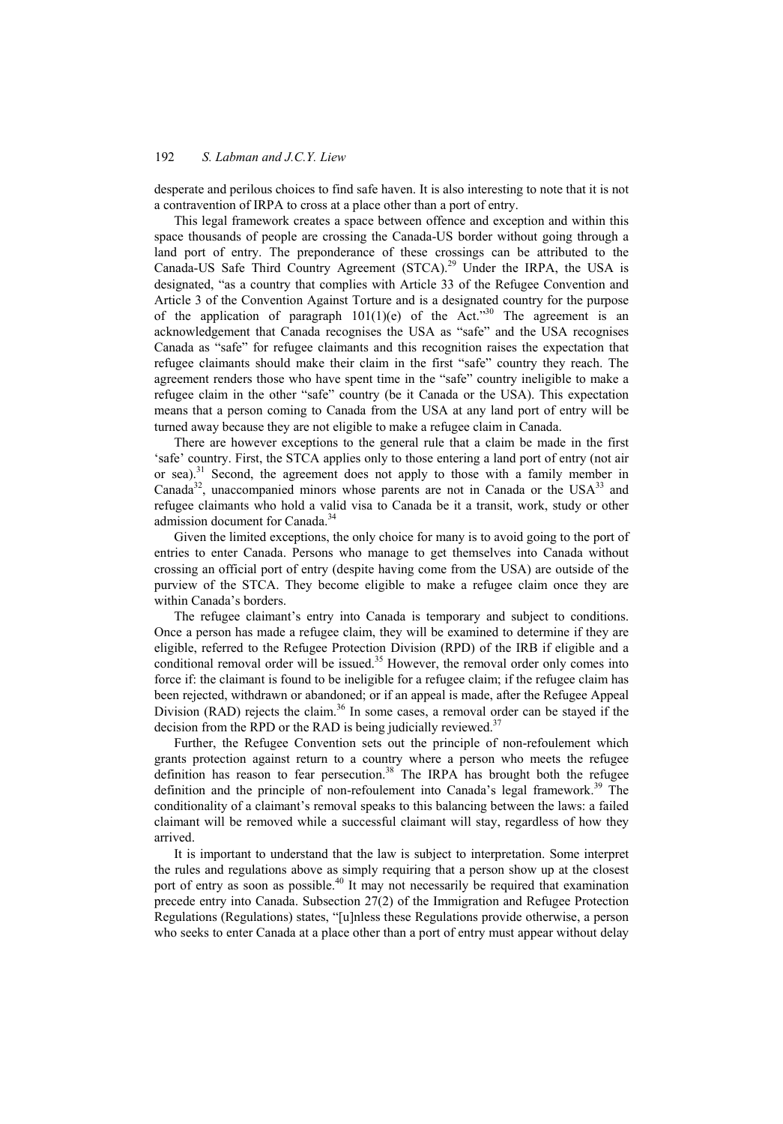desperate and perilous choices to find safe haven. It is also interesting to note that it is not a contravention of IRPA to cross at a place other than a port of entry.

This legal framework creates a space between offence and exception and within this space thousands of people are crossing the Canada-US border without going through a land port of entry. The preponderance of these crossings can be attributed to the Canada-US Safe Third Country Agreement (STCA).<sup>29</sup> Under the IRPA, the USA is designated, "as a country that complies with Article 33 of the Refugee Convention and Article 3 of the Convention Against Torture and is a designated country for the purpose of the application of paragraph  $101(1)(e)$  of the Act."<sup>30</sup> The agreement is an acknowledgement that Canada recognises the USA as "safe" and the USA recognises Canada as "safe" for refugee claimants and this recognition raises the expectation that refugee claimants should make their claim in the first "safe" country they reach. The agreement renders those who have spent time in the "safe" country ineligible to make a refugee claim in the other "safe" country (be it Canada or the USA). This expectation means that a person coming to Canada from the USA at any land port of entry will be turned away because they are not eligible to make a refugee claim in Canada.

There are however exceptions to the general rule that a claim be made in the first 'safe' country. First, the STCA applies only to those entering a land port of entry (not air or sea).<sup>31</sup> Second, the agreement does not apply to those with a family member in Canada<sup>32</sup>, unaccompanied minors whose parents are not in Canada or the  $USA^{33}$  and refugee claimants who hold a valid visa to Canada be it a transit, work, study or other admission document for Canada.34

Given the limited exceptions, the only choice for many is to avoid going to the port of entries to enter Canada. Persons who manage to get themselves into Canada without crossing an official port of entry (despite having come from the USA) are outside of the purview of the STCA. They become eligible to make a refugee claim once they are within Canada's borders.

The refugee claimant's entry into Canada is temporary and subject to conditions. Once a person has made a refugee claim, they will be examined to determine if they are eligible, referred to the Refugee Protection Division (RPD) of the IRB if eligible and a conditional removal order will be issued.<sup>35</sup> However, the removal order only comes into force if: the claimant is found to be ineligible for a refugee claim; if the refugee claim has been rejected, withdrawn or abandoned; or if an appeal is made, after the Refugee Appeal Division (RAD) rejects the claim.<sup>36</sup> In some cases, a removal order can be stayed if the decision from the RPD or the RAD is being judicially reviewed.<sup>37</sup>

Further, the Refugee Convention sets out the principle of non-refoulement which grants protection against return to a country where a person who meets the refugee definition has reason to fear persecution.<sup>38</sup> The IRPA has brought both the refugee definition and the principle of non-refoulement into Canada's legal framework.<sup>39</sup> The conditionality of a claimant's removal speaks to this balancing between the laws: a failed claimant will be removed while a successful claimant will stay, regardless of how they arrived.

It is important to understand that the law is subject to interpretation. Some interpret the rules and regulations above as simply requiring that a person show up at the closest port of entry as soon as possible.<sup>40</sup> It may not necessarily be required that examination precede entry into Canada. Subsection 27(2) of the Immigration and Refugee Protection Regulations (Regulations) states, "[u]nless these Regulations provide otherwise, a person who seeks to enter Canada at a place other than a port of entry must appear without delay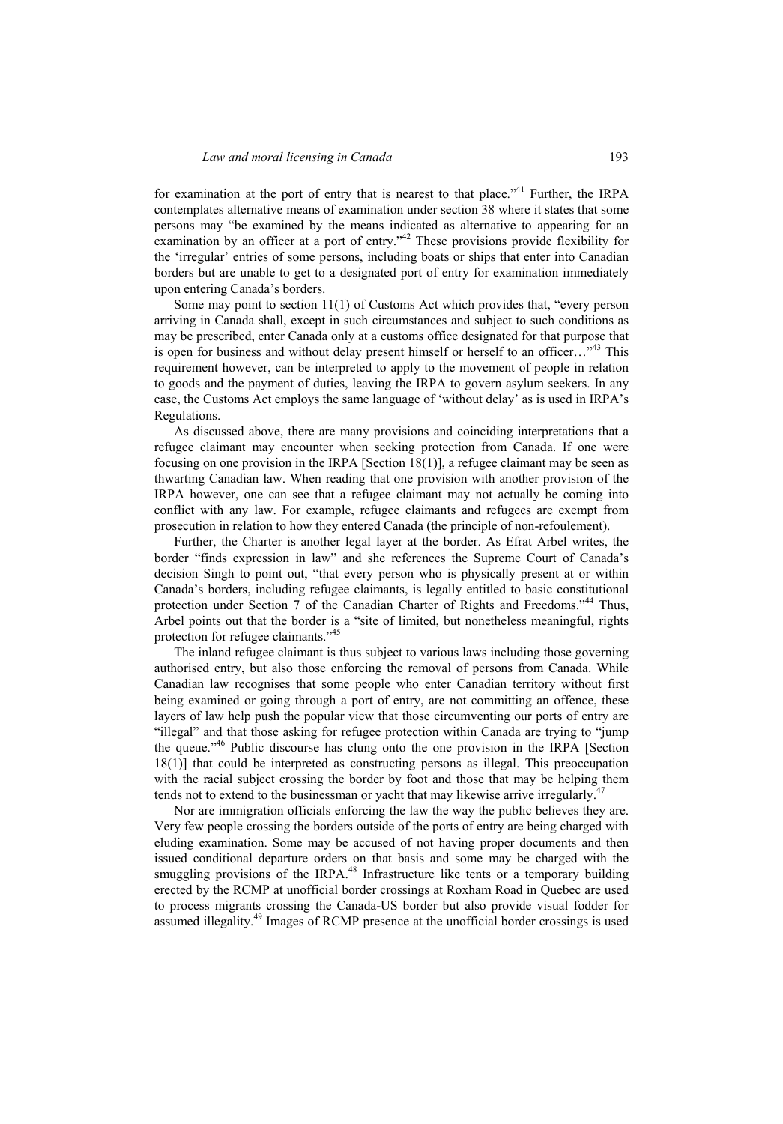for examination at the port of entry that is nearest to that place."<sup>41</sup> Further, the IRPA contemplates alternative means of examination under section 38 where it states that some persons may "be examined by the means indicated as alternative to appearing for an examination by an officer at a port of entry."<sup>42</sup> These provisions provide flexibility for the 'irregular' entries of some persons, including boats or ships that enter into Canadian borders but are unable to get to a designated port of entry for examination immediately upon entering Canada's borders.

Some may point to section 11(1) of Customs Act which provides that, "every person arriving in Canada shall, except in such circumstances and subject to such conditions as may be prescribed, enter Canada only at a customs office designated for that purpose that is open for business and without delay present himself or herself to an officer..."<sup>43</sup> This requirement however, can be interpreted to apply to the movement of people in relation to goods and the payment of duties, leaving the IRPA to govern asylum seekers. In any case, the Customs Act employs the same language of 'without delay' as is used in IRPA's Regulations.

As discussed above, there are many provisions and coinciding interpretations that a refugee claimant may encounter when seeking protection from Canada. If one were focusing on one provision in the IRPA [Section 18(1)], a refugee claimant may be seen as thwarting Canadian law. When reading that one provision with another provision of the IRPA however, one can see that a refugee claimant may not actually be coming into conflict with any law. For example, refugee claimants and refugees are exempt from prosecution in relation to how they entered Canada (the principle of non-refoulement).

Further, the Charter is another legal layer at the border. As Efrat Arbel writes, the border "finds expression in law" and she references the Supreme Court of Canada's decision Singh to point out, "that every person who is physically present at or within Canada's borders, including refugee claimants, is legally entitled to basic constitutional protection under Section 7 of the Canadian Charter of Rights and Freedoms."44 Thus, Arbel points out that the border is a "site of limited, but nonetheless meaningful, rights protection for refugee claimants."<sup>45</sup>

The inland refugee claimant is thus subject to various laws including those governing authorised entry, but also those enforcing the removal of persons from Canada. While Canadian law recognises that some people who enter Canadian territory without first being examined or going through a port of entry, are not committing an offence, these layers of law help push the popular view that those circumventing our ports of entry are "illegal" and that those asking for refugee protection within Canada are trying to "jump the queue."46 Public discourse has clung onto the one provision in the IRPA [Section 18(1)] that could be interpreted as constructing persons as illegal. This preoccupation with the racial subject crossing the border by foot and those that may be helping them tends not to extend to the businessman or yacht that may likewise arrive irregularly.<sup>4</sup>

Nor are immigration officials enforcing the law the way the public believes they are. Very few people crossing the borders outside of the ports of entry are being charged with eluding examination. Some may be accused of not having proper documents and then issued conditional departure orders on that basis and some may be charged with the smuggling provisions of the IRPA.<sup>48</sup> Infrastructure like tents or a temporary building erected by the RCMP at unofficial border crossings at Roxham Road in Quebec are used to process migrants crossing the Canada-US border but also provide visual fodder for assumed illegality.<sup>49</sup> Images of RCMP presence at the unofficial border crossings is used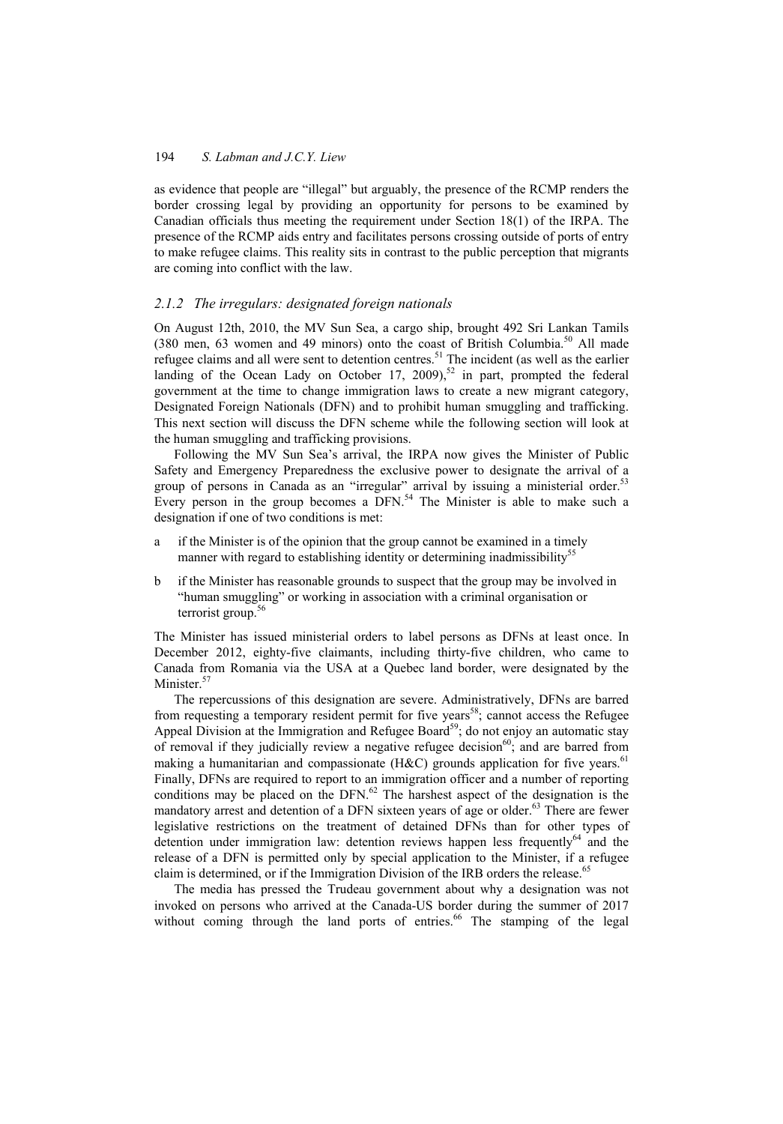as evidence that people are "illegal" but arguably, the presence of the RCMP renders the border crossing legal by providing an opportunity for persons to be examined by Canadian officials thus meeting the requirement under Section 18(1) of the IRPA. The presence of the RCMP aids entry and facilitates persons crossing outside of ports of entry to make refugee claims. This reality sits in contrast to the public perception that migrants are coming into conflict with the law.

#### *2.1.2 The irregulars: designated foreign nationals*

On August 12th, 2010, the MV Sun Sea, a cargo ship, brought 492 Sri Lankan Tamils (380 men, 63 women and 49 minors) onto the coast of British Columbia.<sup>50</sup> All made refugee claims and all were sent to detention centres.<sup>51</sup> The incident (as well as the earlier landing of the Ocean Lady on October 17,  $2009$ , $52$  in part, prompted the federal government at the time to change immigration laws to create a new migrant category, Designated Foreign Nationals (DFN) and to prohibit human smuggling and trafficking. This next section will discuss the DFN scheme while the following section will look at the human smuggling and trafficking provisions.

Following the MV Sun Sea's arrival, the IRPA now gives the Minister of Public Safety and Emergency Preparedness the exclusive power to designate the arrival of a group of persons in Canada as an "irregular" arrival by issuing a ministerial order.<sup>53</sup> Every person in the group becomes a  $\text{DFN}$ .<sup>54</sup> The Minister is able to make such a designation if one of two conditions is met:

- a if the Minister is of the opinion that the group cannot be examined in a timely manner with regard to establishing identity or determining inadmissibility<sup>55</sup>
- b if the Minister has reasonable grounds to suspect that the group may be involved in "human smuggling" or working in association with a criminal organisation or terrorist group.56

The Minister has issued ministerial orders to label persons as DFNs at least once. In December 2012, eighty-five claimants, including thirty-five children, who came to Canada from Romania via the USA at a Quebec land border, were designated by the Minister.<sup>5</sup>

The repercussions of this designation are severe. Administratively, DFNs are barred from requesting a temporary resident permit for five years<sup>58</sup>; cannot access the Refugee Appeal Division at the Immigration and Refugee Board<sup>59</sup>; do not enjoy an automatic stay of removal if they judicially review a negative refugee decision $60$ ; and are barred from making a humanitarian and compassionate (H&C) grounds application for five years.<sup>61</sup> Finally, DFNs are required to report to an immigration officer and a number of reporting conditions may be placed on the DFN.<sup>62</sup> The harshest aspect of the designation is the mandatory arrest and detention of a DFN sixteen years of age or older.<sup>63</sup> There are fewer legislative restrictions on the treatment of detained DFNs than for other types of detention under immigration law: detention reviews happen less frequently<sup>64</sup> and the release of a DFN is permitted only by special application to the Minister, if a refugee claim is determined, or if the Immigration Division of the IRB orders the release.<sup>65</sup>

The media has pressed the Trudeau government about why a designation was not invoked on persons who arrived at the Canada-US border during the summer of 2017 without coming through the land ports of entries.<sup>66</sup> The stamping of the legal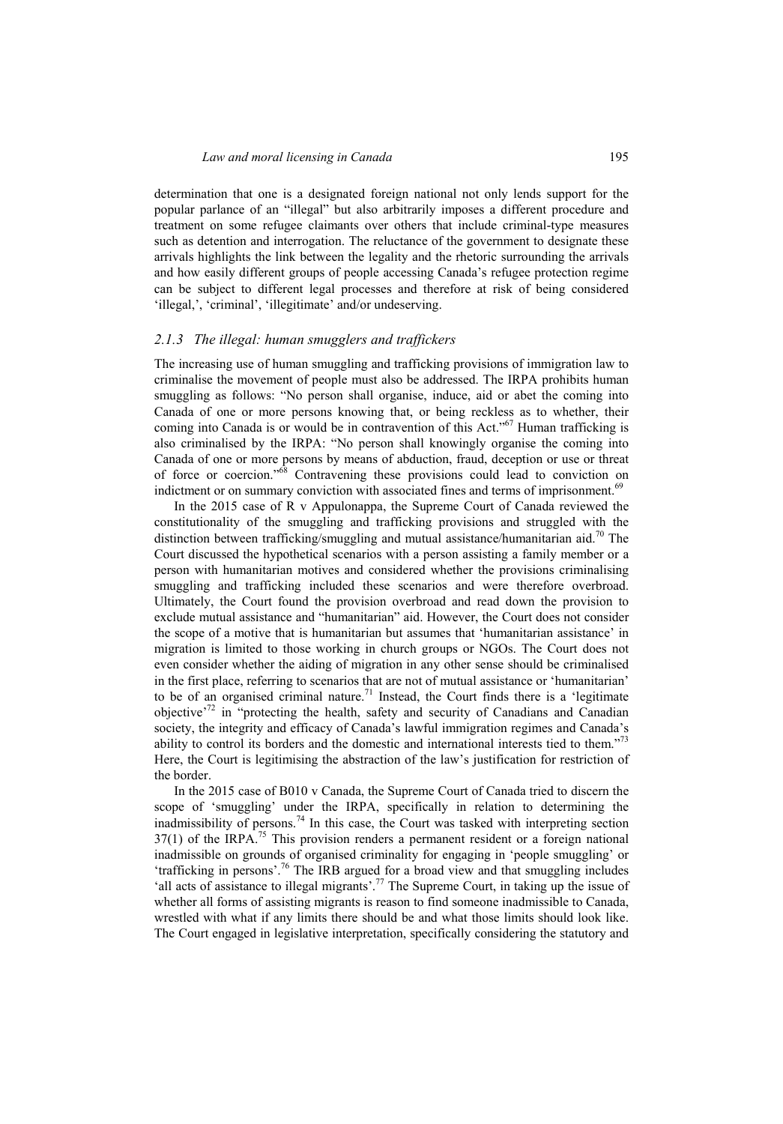determination that one is a designated foreign national not only lends support for the popular parlance of an "illegal" but also arbitrarily imposes a different procedure and treatment on some refugee claimants over others that include criminal-type measures such as detention and interrogation. The reluctance of the government to designate these arrivals highlights the link between the legality and the rhetoric surrounding the arrivals and how easily different groups of people accessing Canada's refugee protection regime can be subject to different legal processes and therefore at risk of being considered 'illegal,', 'criminal', 'illegitimate' and/or undeserving.

#### *2.1.3 The illegal: human smugglers and traffickers*

The increasing use of human smuggling and trafficking provisions of immigration law to criminalise the movement of people must also be addressed. The IRPA prohibits human smuggling as follows: "No person shall organise, induce, aid or abet the coming into Canada of one or more persons knowing that, or being reckless as to whether, their coming into Canada is or would be in contravention of this Act." 67 Human trafficking is also criminalised by the IRPA: "No person shall knowingly organise the coming into Canada of one or more persons by means of abduction, fraud, deception or use or threat of force or coercion."68 Contravening these provisions could lead to conviction on indictment or on summary conviction with associated fines and terms of imprisonment.<sup>69</sup>

In the 2015 case of R v Appulonappa, the Supreme Court of Canada reviewed the constitutionality of the smuggling and trafficking provisions and struggled with the distinction between trafficking/smuggling and mutual assistance/humanitarian aid.<sup>70</sup> The Court discussed the hypothetical scenarios with a person assisting a family member or a person with humanitarian motives and considered whether the provisions criminalising smuggling and trafficking included these scenarios and were therefore overbroad. Ultimately, the Court found the provision overbroad and read down the provision to exclude mutual assistance and "humanitarian" aid. However, the Court does not consider the scope of a motive that is humanitarian but assumes that 'humanitarian assistance' in migration is limited to those working in church groups or NGOs. The Court does not even consider whether the aiding of migration in any other sense should be criminalised in the first place, referring to scenarios that are not of mutual assistance or 'humanitarian' to be of an organised criminal nature.<sup>71</sup> Instead, the Court finds there is a 'legitimate objective'72 in "protecting the health, safety and security of Canadians and Canadian society, the integrity and efficacy of Canada's lawful immigration regimes and Canada's ability to control its borders and the domestic and international interests tied to them."<sup>73</sup> Here, the Court is legitimising the abstraction of the law's justification for restriction of the border.

In the 2015 case of B010 v Canada, the Supreme Court of Canada tried to discern the scope of 'smuggling' under the IRPA, specifically in relation to determining the inadmissibility of persons.74 In this case, the Court was tasked with interpreting section 37(1) of the IRPA.<sup>75</sup> This provision renders a permanent resident or a foreign national inadmissible on grounds of organised criminality for engaging in 'people smuggling' or 'trafficking in persons'.76 The IRB argued for a broad view and that smuggling includes 'all acts of assistance to illegal migrants'.<sup>77</sup> The Supreme Court, in taking up the issue of whether all forms of assisting migrants is reason to find someone inadmissible to Canada, wrestled with what if any limits there should be and what those limits should look like. The Court engaged in legislative interpretation, specifically considering the statutory and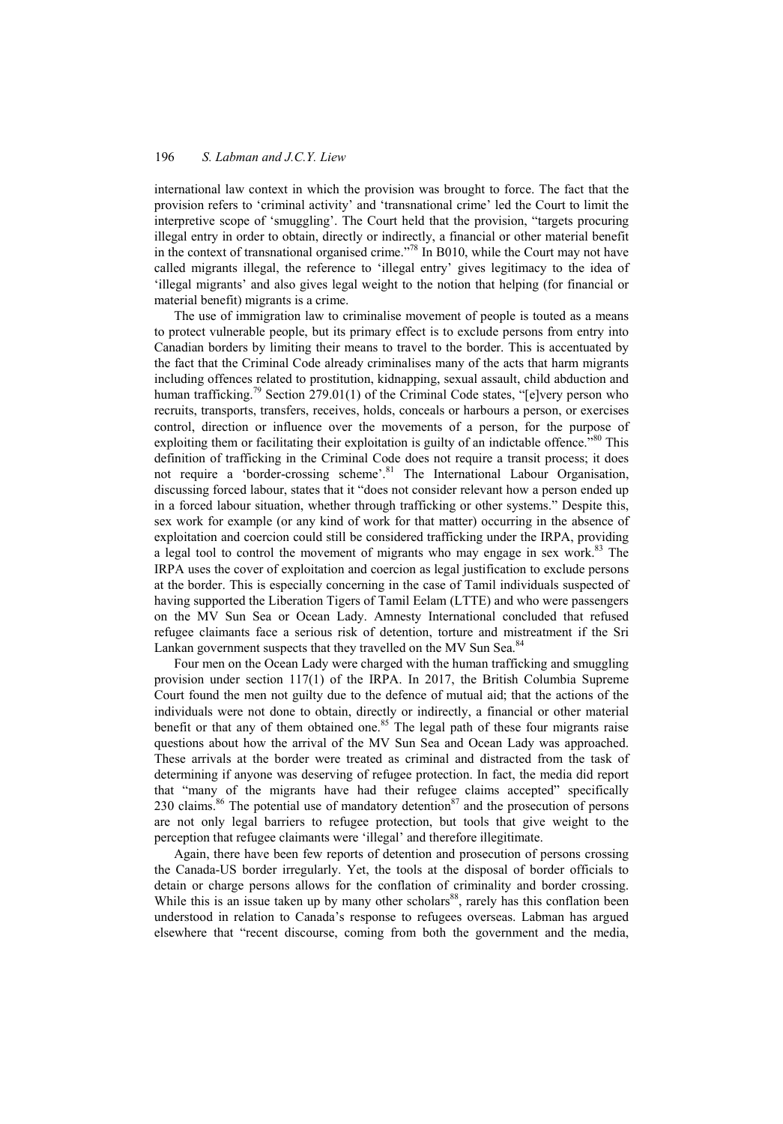international law context in which the provision was brought to force. The fact that the provision refers to 'criminal activity' and 'transnational crime' led the Court to limit the interpretive scope of 'smuggling'. The Court held that the provision, "targets procuring illegal entry in order to obtain, directly or indirectly, a financial or other material benefit in the context of transnational organised crime."<sup>78</sup> In B010, while the Court may not have called migrants illegal, the reference to 'illegal entry' gives legitimacy to the idea of 'illegal migrants' and also gives legal weight to the notion that helping (for financial or material benefit) migrants is a crime.

The use of immigration law to criminalise movement of people is touted as a means to protect vulnerable people, but its primary effect is to exclude persons from entry into Canadian borders by limiting their means to travel to the border. This is accentuated by the fact that the Criminal Code already criminalises many of the acts that harm migrants including offences related to prostitution, kidnapping, sexual assault, child abduction and human trafficking.<sup>79</sup> Section 279.01(1) of the Criminal Code states, "[e]very person who recruits, transports, transfers, receives, holds, conceals or harbours a person, or exercises control, direction or influence over the movements of a person, for the purpose of exploiting them or facilitating their exploitation is guilty of an indictable offence."<sup>80</sup> This definition of trafficking in the Criminal Code does not require a transit process; it does not require a 'border-crossing scheme'.<sup>81</sup> The International Labour Organisation, discussing forced labour, states that it "does not consider relevant how a person ended up in a forced labour situation, whether through trafficking or other systems." Despite this, sex work for example (or any kind of work for that matter) occurring in the absence of exploitation and coercion could still be considered trafficking under the IRPA, providing a legal tool to control the movement of migrants who may engage in sex work.<sup>83</sup> The IRPA uses the cover of exploitation and coercion as legal justification to exclude persons at the border. This is especially concerning in the case of Tamil individuals suspected of having supported the Liberation Tigers of Tamil Eelam (LTTE) and who were passengers on the MV Sun Sea or Ocean Lady. Amnesty International concluded that refused refugee claimants face a serious risk of detention, torture and mistreatment if the Sri Lankan government suspects that they travelled on the MV Sun Sea.<sup>84</sup>

Four men on the Ocean Lady were charged with the human trafficking and smuggling provision under section 117(1) of the IRPA. In 2017, the British Columbia Supreme Court found the men not guilty due to the defence of mutual aid; that the actions of the individuals were not done to obtain, directly or indirectly, a financial or other material benefit or that any of them obtained one.<sup>85</sup> The legal path of these four migrants raise questions about how the arrival of the MV Sun Sea and Ocean Lady was approached. These arrivals at the border were treated as criminal and distracted from the task of determining if anyone was deserving of refugee protection. In fact, the media did report that "many of the migrants have had their refugee claims accepted" specifically 230 claims.<sup>86</sup> The potential use of mandatory detention<sup>87</sup> and the prosecution of persons are not only legal barriers to refugee protection, but tools that give weight to the perception that refugee claimants were 'illegal' and therefore illegitimate.

Again, there have been few reports of detention and prosecution of persons crossing the Canada-US border irregularly. Yet, the tools at the disposal of border officials to detain or charge persons allows for the conflation of criminality and border crossing. While this is an issue taken up by many other scholars<sup>88</sup>, rarely has this conflation been understood in relation to Canada's response to refugees overseas. Labman has argued elsewhere that "recent discourse, coming from both the government and the media,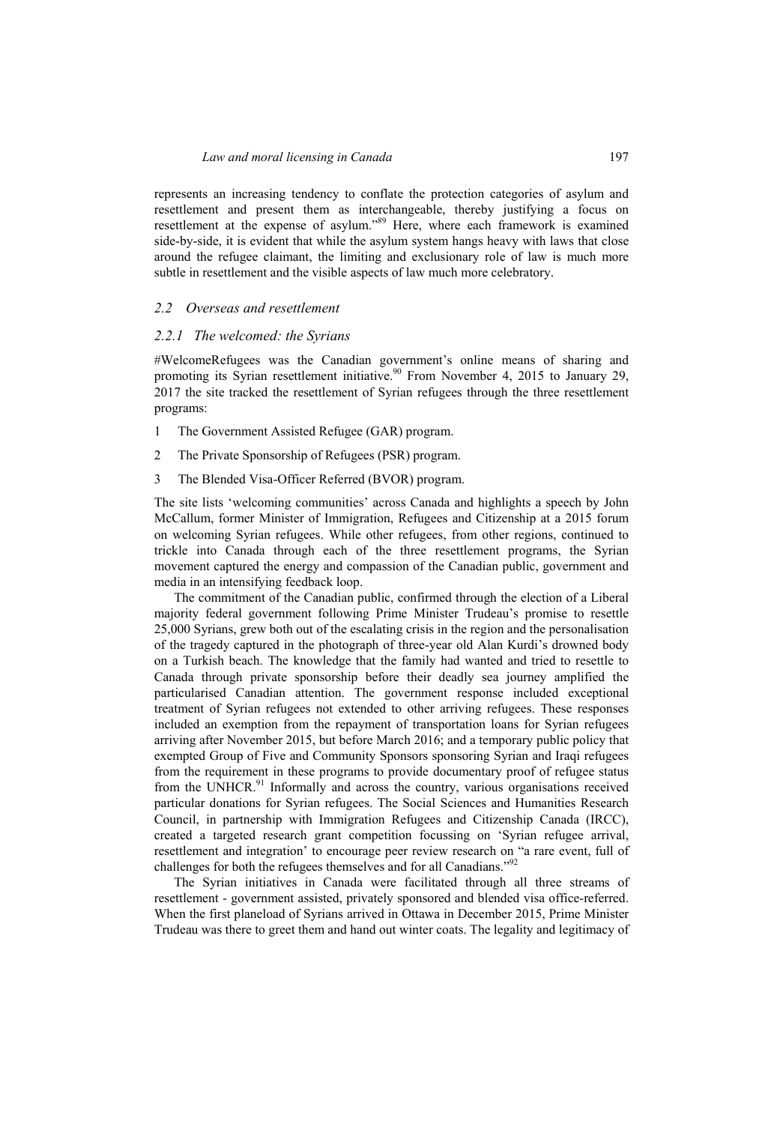represents an increasing tendency to conflate the protection categories of asylum and resettlement and present them as interchangeable, thereby justifying a focus on resettlement at the expense of asylum."89 Here, where each framework is examined side-by-side, it is evident that while the asylum system hangs heavy with laws that close around the refugee claimant, the limiting and exclusionary role of law is much more subtle in resettlement and the visible aspects of law much more celebratory.

#### *2.2 Overseas and resettlement*

#### *2.2.1 The welcomed: the Syrians*

#WelcomeRefugees was the Canadian government's online means of sharing and promoting its Syrian resettlement initiative.<sup>90</sup> From November 4, 2015 to January 29, 2017 the site tracked the resettlement of Syrian refugees through the three resettlement programs:

- 1 The Government Assisted Refugee (GAR) program.
- 2 The Private Sponsorship of Refugees (PSR) program.
- 3 The Blended Visa-Officer Referred (BVOR) program.

The site lists 'welcoming communities' across Canada and highlights a speech by John McCallum, former Minister of Immigration, Refugees and Citizenship at a 2015 forum on welcoming Syrian refugees. While other refugees, from other regions, continued to trickle into Canada through each of the three resettlement programs, the Syrian movement captured the energy and compassion of the Canadian public, government and media in an intensifying feedback loop.

The commitment of the Canadian public, confirmed through the election of a Liberal majority federal government following Prime Minister Trudeau's promise to resettle 25,000 Syrians, grew both out of the escalating crisis in the region and the personalisation of the tragedy captured in the photograph of three-year old Alan Kurdi's drowned body on a Turkish beach. The knowledge that the family had wanted and tried to resettle to Canada through private sponsorship before their deadly sea journey amplified the particularised Canadian attention. The government response included exceptional treatment of Syrian refugees not extended to other arriving refugees. These responses included an exemption from the repayment of transportation loans for Syrian refugees arriving after November 2015, but before March 2016; and a temporary public policy that exempted Group of Five and Community Sponsors sponsoring Syrian and Iraqi refugees from the requirement in these programs to provide documentary proof of refugee status from the UNHCR.<sup>91</sup> Informally and across the country, various organisations received particular donations for Syrian refugees. The Social Sciences and Humanities Research Council, in partnership with Immigration Refugees and Citizenship Canada (IRCC), created a targeted research grant competition focussing on 'Syrian refugee arrival, resettlement and integration' to encourage peer review research on "a rare event, full of challenges for both the refugees themselves and for all Canadians."92

The Syrian initiatives in Canada were facilitated through all three streams of resettlement - government assisted, privately sponsored and blended visa office-referred. When the first planeload of Syrians arrived in Ottawa in December 2015, Prime Minister Trudeau was there to greet them and hand out winter coats. The legality and legitimacy of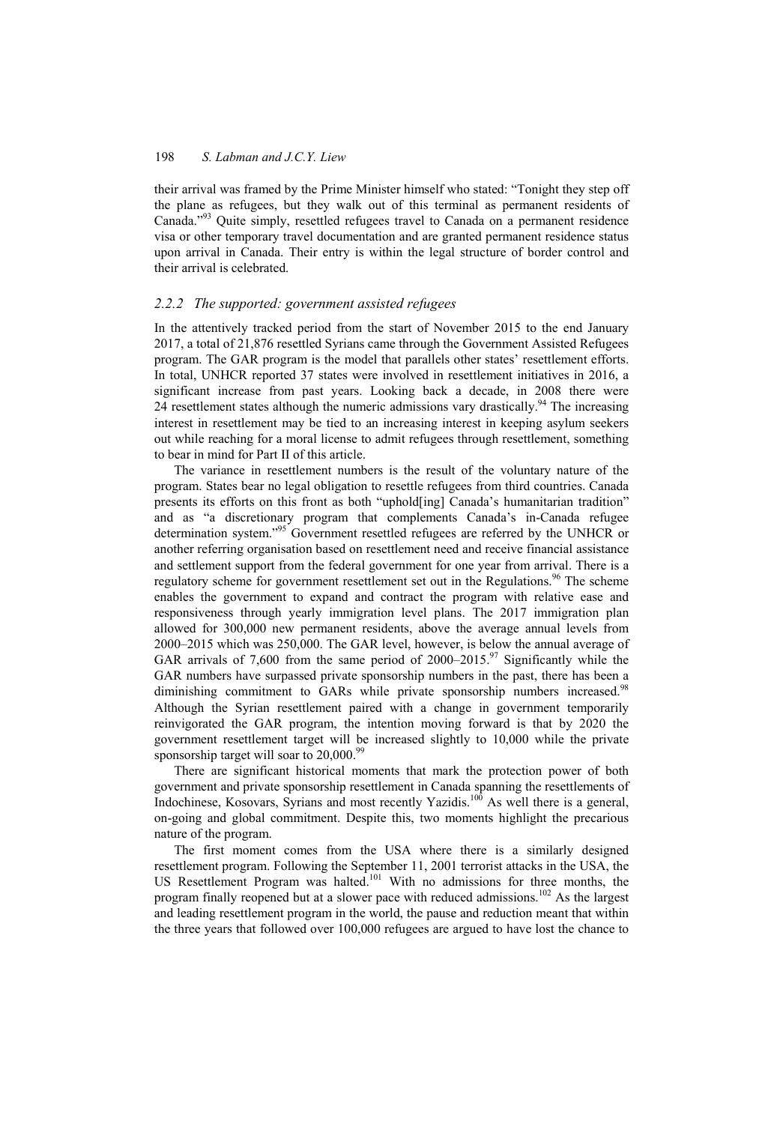their arrival was framed by the Prime Minister himself who stated: "Tonight they step off the plane as refugees, but they walk out of this terminal as permanent residents of Canada."93 Quite simply, resettled refugees travel to Canada on a permanent residence visa or other temporary travel documentation and are granted permanent residence status upon arrival in Canada. Their entry is within the legal structure of border control and their arrival is celebrated.

#### *2.2.2 The supported: government assisted refugees*

In the attentively tracked period from the start of November 2015 to the end January 2017, a total of 21,876 resettled Syrians came through the Government Assisted Refugees program. The GAR program is the model that parallels other states' resettlement efforts. In total, UNHCR reported 37 states were involved in resettlement initiatives in 2016, a significant increase from past years. Looking back a decade, in 2008 there were  $24$  resettlement states although the numeric admissions vary drastically.<sup>94</sup> The increasing interest in resettlement may be tied to an increasing interest in keeping asylum seekers out while reaching for a moral license to admit refugees through resettlement, something to bear in mind for Part II of this article.

The variance in resettlement numbers is the result of the voluntary nature of the program. States bear no legal obligation to resettle refugees from third countries. Canada presents its efforts on this front as both "uphold[ing] Canada's humanitarian tradition" and as "a discretionary program that complements Canada's in-Canada refugee determination system."95 Government resettled refugees are referred by the UNHCR or another referring organisation based on resettlement need and receive financial assistance and settlement support from the federal government for one year from arrival. There is a regulatory scheme for government resettlement set out in the Regulations.<sup>96</sup> The scheme enables the government to expand and contract the program with relative ease and responsiveness through yearly immigration level plans. The 2017 immigration plan allowed for 300,000 new permanent residents, above the average annual levels from 2000–2015 which was 250,000. The GAR level, however, is below the annual average of GAR arrivals of 7,600 from the same period of 2000–2015.<sup>97</sup> Significantly while the GAR numbers have surpassed private sponsorship numbers in the past, there has been a diminishing commitment to GARs while private sponsorship numbers increased.<sup>98</sup> Although the Syrian resettlement paired with a change in government temporarily reinvigorated the GAR program, the intention moving forward is that by 2020 the government resettlement target will be increased slightly to 10,000 while the private sponsorship target will soar to 20,000.99

There are significant historical moments that mark the protection power of both government and private sponsorship resettlement in Canada spanning the resettlements of Indochinese, Kosovars, Syrians and most recently Yazidis.<sup>100</sup> As well there is a general, on-going and global commitment. Despite this, two moments highlight the precarious nature of the program.

The first moment comes from the USA where there is a similarly designed resettlement program. Following the September 11, 2001 terrorist attacks in the USA, the US Resettlement Program was halted.101 With no admissions for three months, the program finally reopened but at a slower pace with reduced admissions.<sup>102</sup> As the largest and leading resettlement program in the world, the pause and reduction meant that within the three years that followed over 100,000 refugees are argued to have lost the chance to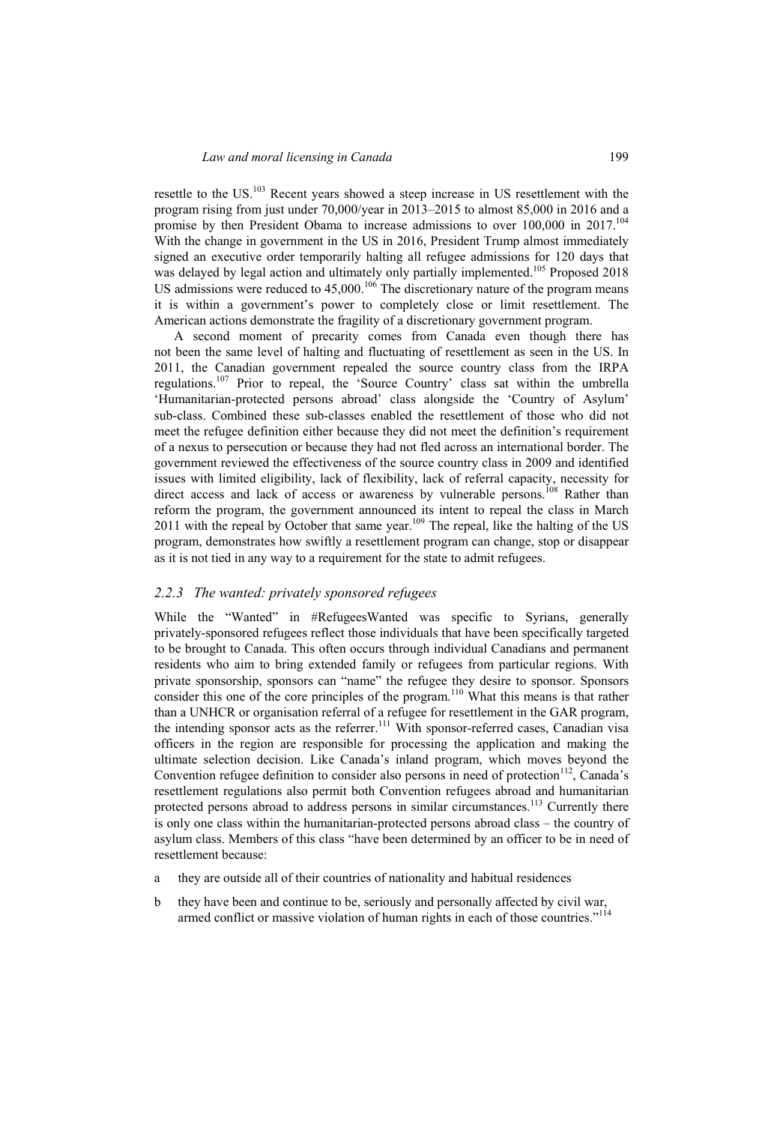resettle to the US.<sup>103</sup> Recent years showed a steep increase in US resettlement with the program rising from just under 70,000/year in 2013–2015 to almost 85,000 in 2016 and a promise by then President Obama to increase admissions to over 100,000 in 2017.<sup>104</sup> With the change in government in the US in 2016, President Trump almost immediately signed an executive order temporarily halting all refugee admissions for 120 days that was delayed by legal action and ultimately only partially implemented.<sup>105</sup> Proposed 2018 US admissions were reduced to  $45,000$ .<sup>106</sup> The discretionary nature of the program means it is within a government's power to completely close or limit resettlement. The American actions demonstrate the fragility of a discretionary government program.

A second moment of precarity comes from Canada even though there has not been the same level of halting and fluctuating of resettlement as seen in the US. In 2011, the Canadian government repealed the source country class from the IRPA regulations.107 Prior to repeal, the 'Source Country' class sat within the umbrella 'Humanitarian-protected persons abroad' class alongside the 'Country of Asylum' sub-class. Combined these sub-classes enabled the resettlement of those who did not meet the refugee definition either because they did not meet the definition's requirement of a nexus to persecution or because they had not fled across an international border. The government reviewed the effectiveness of the source country class in 2009 and identified issues with limited eligibility, lack of flexibility, lack of referral capacity, necessity for direct access and lack of access or awareness by vulnerable persons.<sup>108</sup> Rather than reform the program, the government announced its intent to repeal the class in March 2011 with the repeal by October that same year.<sup>109</sup> The repeal, like the halting of the US program, demonstrates how swiftly a resettlement program can change, stop or disappear as it is not tied in any way to a requirement for the state to admit refugees.

## *2.2.3 The wanted: privately sponsored refugees*

While the "Wanted" in #RefugeesWanted was specific to Syrians, generally privately-sponsored refugees reflect those individuals that have been specifically targeted to be brought to Canada. This often occurs through individual Canadians and permanent residents who aim to bring extended family or refugees from particular regions. With private sponsorship, sponsors can "name" the refugee they desire to sponsor. Sponsors consider this one of the core principles of the program.110 What this means is that rather than a UNHCR or organisation referral of a refugee for resettlement in the GAR program, the intending sponsor acts as the referrer.<sup>111</sup> With sponsor-referred cases, Canadian visa officers in the region are responsible for processing the application and making the ultimate selection decision. Like Canada's inland program, which moves beyond the Convention refugee definition to consider also persons in need of protection<sup>112</sup>, Canada's resettlement regulations also permit both Convention refugees abroad and humanitarian protected persons abroad to address persons in similar circumstances.<sup>113</sup> Currently there is only one class within the humanitarian-protected persons abroad class – the country of asylum class. Members of this class "have been determined by an officer to be in need of resettlement because:

- a they are outside all of their countries of nationality and habitual residences
- b they have been and continue to be, seriously and personally affected by civil war, armed conflict or massive violation of human rights in each of those countries."<sup>114</sup>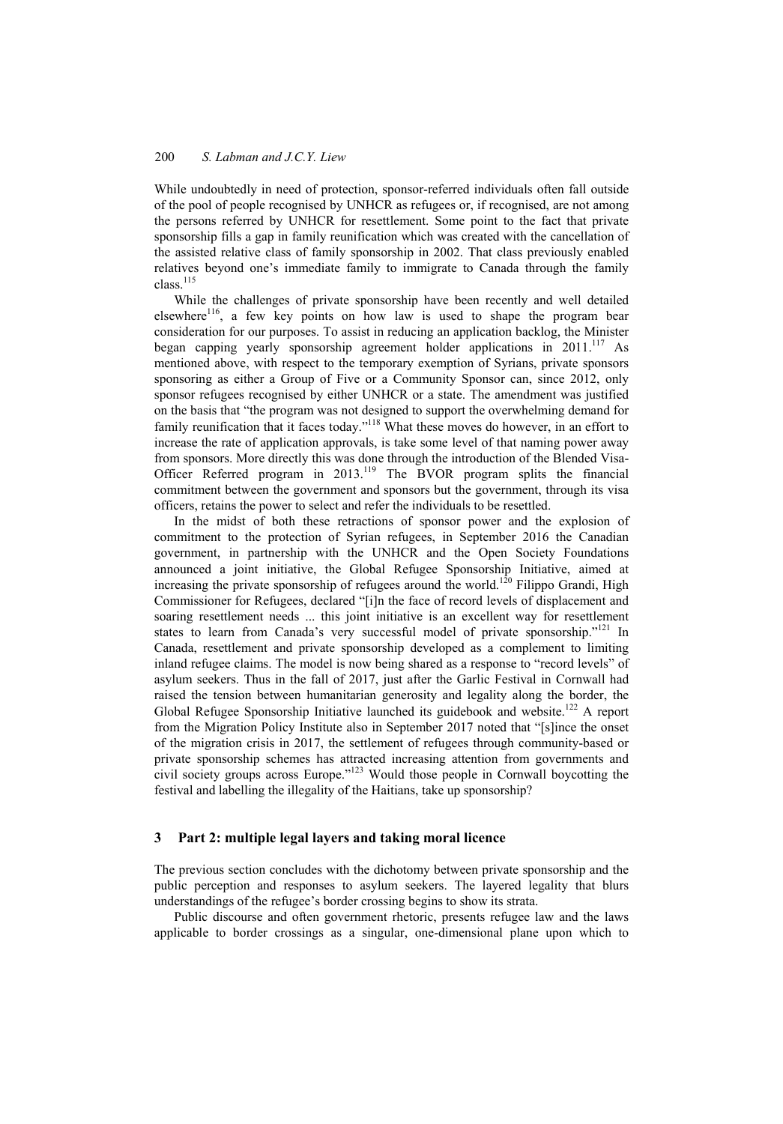While undoubtedly in need of protection, sponsor-referred individuals often fall outside of the pool of people recognised by UNHCR as refugees or, if recognised, are not among the persons referred by UNHCR for resettlement. Some point to the fact that private sponsorship fills a gap in family reunification which was created with the cancellation of the assisted relative class of family sponsorship in 2002. That class previously enabled relatives beyond one's immediate family to immigrate to Canada through the family class.<sup>115</sup>

While the challenges of private sponsorship have been recently and well detailed elsewhere<sup>116</sup>, a few key points on how law is used to shape the program bear consideration for our purposes. To assist in reducing an application backlog, the Minister began capping yearly sponsorship agreement holder applications in 2011.<sup>117</sup> As mentioned above, with respect to the temporary exemption of Syrians, private sponsors sponsoring as either a Group of Five or a Community Sponsor can, since 2012, only sponsor refugees recognised by either UNHCR or a state. The amendment was justified on the basis that "the program was not designed to support the overwhelming demand for family reunification that it faces today."<sup>118</sup> What these moves do however, in an effort to increase the rate of application approvals, is take some level of that naming power away from sponsors. More directly this was done through the introduction of the Blended Visa-Officer Referred program in 2013.<sup>119</sup> The BVOR program splits the financial commitment between the government and sponsors but the government, through its visa officers, retains the power to select and refer the individuals to be resettled.

In the midst of both these retractions of sponsor power and the explosion of commitment to the protection of Syrian refugees, in September 2016 the Canadian government, in partnership with the UNHCR and the Open Society Foundations announced a joint initiative, the Global Refugee Sponsorship Initiative, aimed at increasing the private sponsorship of refugees around the world.<sup>120</sup> Filippo Grandi, High Commissioner for Refugees, declared "[i]n the face of record levels of displacement and soaring resettlement needs ... this joint initiative is an excellent way for resettlement states to learn from Canada's very successful model of private sponsorship."<sup>121</sup> In Canada, resettlement and private sponsorship developed as a complement to limiting inland refugee claims. The model is now being shared as a response to "record levels" of asylum seekers. Thus in the fall of 2017, just after the Garlic Festival in Cornwall had raised the tension between humanitarian generosity and legality along the border, the Global Refugee Sponsorship Initiative launched its guidebook and website.<sup>122</sup> A report from the Migration Policy Institute also in September 2017 noted that "[s]ince the onset of the migration crisis in 2017, the settlement of refugees through community-based or private sponsorship schemes has attracted increasing attention from governments and civil society groups across Europe."123 Would those people in Cornwall boycotting the festival and labelling the illegality of the Haitians, take up sponsorship?

## **3 Part 2: multiple legal layers and taking moral licence**

The previous section concludes with the dichotomy between private sponsorship and the public perception and responses to asylum seekers. The layered legality that blurs understandings of the refugee's border crossing begins to show its strata.

Public discourse and often government rhetoric, presents refugee law and the laws applicable to border crossings as a singular, one-dimensional plane upon which to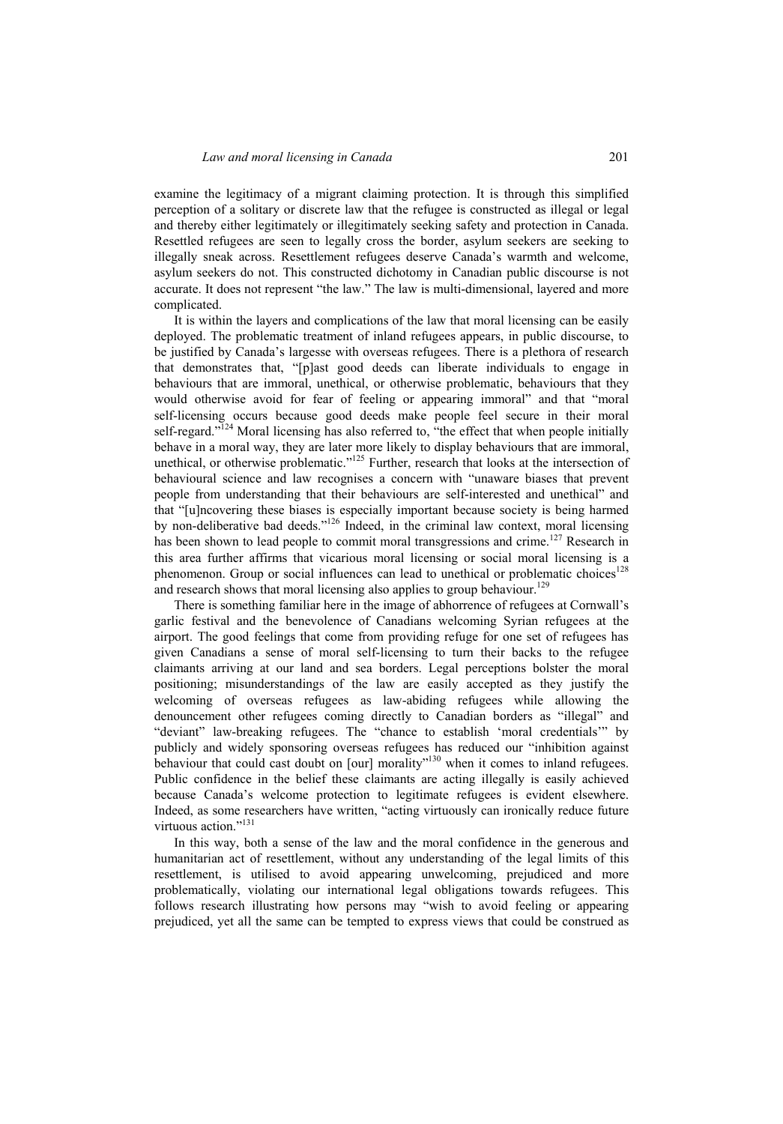examine the legitimacy of a migrant claiming protection. It is through this simplified perception of a solitary or discrete law that the refugee is constructed as illegal or legal and thereby either legitimately or illegitimately seeking safety and protection in Canada. Resettled refugees are seen to legally cross the border, asylum seekers are seeking to illegally sneak across. Resettlement refugees deserve Canada's warmth and welcome, asylum seekers do not. This constructed dichotomy in Canadian public discourse is not accurate. It does not represent "the law." The law is multi-dimensional, layered and more complicated.

It is within the layers and complications of the law that moral licensing can be easily deployed. The problematic treatment of inland refugees appears, in public discourse, to be justified by Canada's largesse with overseas refugees. There is a plethora of research that demonstrates that, "[p]ast good deeds can liberate individuals to engage in behaviours that are immoral, unethical, or otherwise problematic, behaviours that they would otherwise avoid for fear of feeling or appearing immoral" and that "moral self-licensing occurs because good deeds make people feel secure in their moral self-regard."<sup>124</sup> Moral licensing has also referred to, "the effect that when people initially behave in a moral way, they are later more likely to display behaviours that are immoral, unethical, or otherwise problematic."<sup>125</sup> Further, research that looks at the intersection of behavioural science and law recognises a concern with "unaware biases that prevent people from understanding that their behaviours are self-interested and unethical" and that "[u]ncovering these biases is especially important because society is being harmed by non-deliberative bad deeds."<sup>126</sup> Indeed, in the criminal law context, moral licensing has been shown to lead people to commit moral transgressions and crime.<sup>127</sup> Research in this area further affirms that vicarious moral licensing or social moral licensing is a phenomenon. Group or social influences can lead to unethical or problematic choices<sup>128</sup> and research shows that moral licensing also applies to group behaviour.<sup>129</sup>

There is something familiar here in the image of abhorrence of refugees at Cornwall's garlic festival and the benevolence of Canadians welcoming Syrian refugees at the airport. The good feelings that come from providing refuge for one set of refugees has given Canadians a sense of moral self-licensing to turn their backs to the refugee claimants arriving at our land and sea borders. Legal perceptions bolster the moral positioning; misunderstandings of the law are easily accepted as they justify the welcoming of overseas refugees as law-abiding refugees while allowing the denouncement other refugees coming directly to Canadian borders as "illegal" and "deviant" law-breaking refugees. The "chance to establish 'moral credentials'" by publicly and widely sponsoring overseas refugees has reduced our "inhibition against behaviour that could cast doubt on  $\lceil \text{our} \rceil$  morality"<sup>130</sup> when it comes to inland refugees. Public confidence in the belief these claimants are acting illegally is easily achieved because Canada's welcome protection to legitimate refugees is evident elsewhere. Indeed, as some researchers have written, "acting virtuously can ironically reduce future virtuous action."<sup>131</sup>

In this way, both a sense of the law and the moral confidence in the generous and humanitarian act of resettlement, without any understanding of the legal limits of this resettlement, is utilised to avoid appearing unwelcoming, prejudiced and more problematically, violating our international legal obligations towards refugees. This follows research illustrating how persons may "wish to avoid feeling or appearing prejudiced, yet all the same can be tempted to express views that could be construed as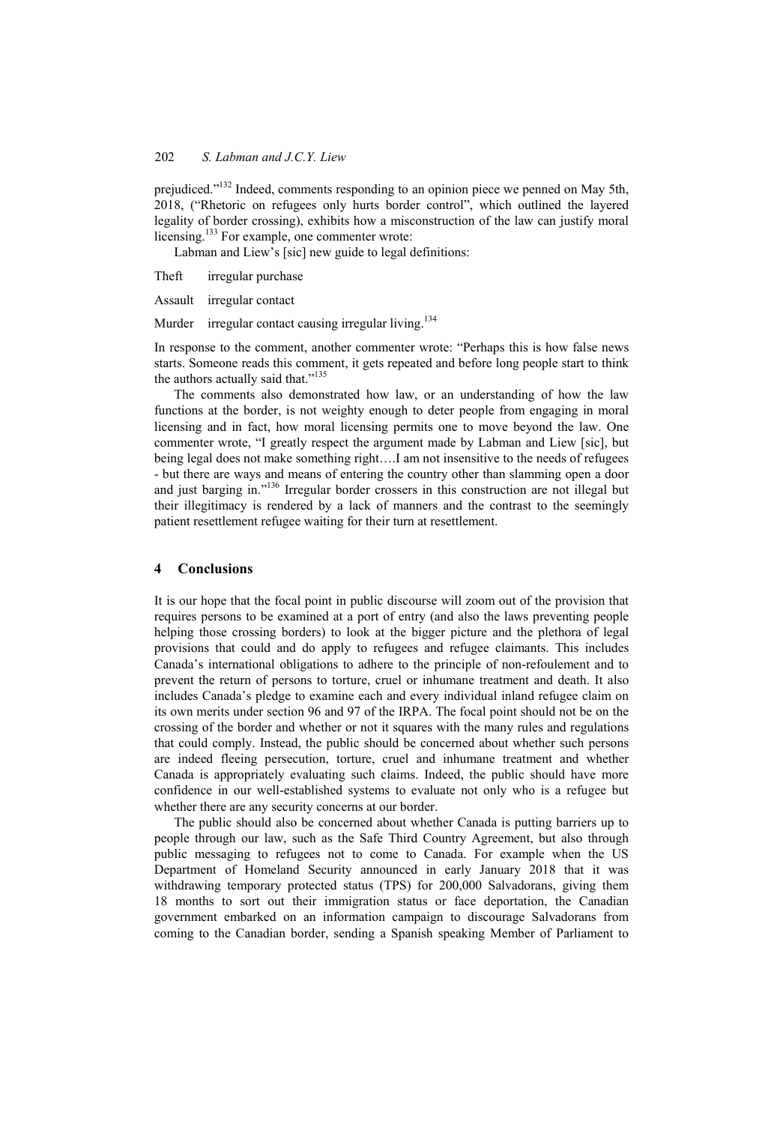prejudiced."132 Indeed, comments responding to an opinion piece we penned on May 5th, 2018, ("Rhetoric on refugees only hurts border control", which outlined the layered legality of border crossing), exhibits how a misconstruction of the law can justify moral licensing.<sup>133</sup> For example, one commenter wrote:

Labman and Liew's [sic] new guide to legal definitions:

Theft irregular purchase

Assault irregular contact

Murder irregular contact causing irregular living.<sup>134</sup>

In response to the comment, another commenter wrote: "Perhaps this is how false news starts. Someone reads this comment, it gets repeated and before long people start to think the authors actually said that."<sup>135</sup>

The comments also demonstrated how law, or an understanding of how the law functions at the border, is not weighty enough to deter people from engaging in moral licensing and in fact, how moral licensing permits one to move beyond the law. One commenter wrote, "I greatly respect the argument made by Labman and Liew [sic], but being legal does not make something right….I am not insensitive to the needs of refugees - but there are ways and means of entering the country other than slamming open a door and just barging in."136 Irregular border crossers in this construction are not illegal but their illegitimacy is rendered by a lack of manners and the contrast to the seemingly patient resettlement refugee waiting for their turn at resettlement.

#### **4 Conclusions**

It is our hope that the focal point in public discourse will zoom out of the provision that requires persons to be examined at a port of entry (and also the laws preventing people helping those crossing borders) to look at the bigger picture and the plethora of legal provisions that could and do apply to refugees and refugee claimants. This includes Canada's international obligations to adhere to the principle of non-refoulement and to prevent the return of persons to torture, cruel or inhumane treatment and death. It also includes Canada's pledge to examine each and every individual inland refugee claim on its own merits under section 96 and 97 of the IRPA. The focal point should not be on the crossing of the border and whether or not it squares with the many rules and regulations that could comply. Instead, the public should be concerned about whether such persons are indeed fleeing persecution, torture, cruel and inhumane treatment and whether Canada is appropriately evaluating such claims. Indeed, the public should have more confidence in our well-established systems to evaluate not only who is a refugee but whether there are any security concerns at our border.

The public should also be concerned about whether Canada is putting barriers up to people through our law, such as the Safe Third Country Agreement, but also through public messaging to refugees not to come to Canada. For example when the US Department of Homeland Security announced in early January 2018 that it was withdrawing temporary protected status (TPS) for 200,000 Salvadorans, giving them 18 months to sort out their immigration status or face deportation, the Canadian government embarked on an information campaign to discourage Salvadorans from coming to the Canadian border, sending a Spanish speaking Member of Parliament to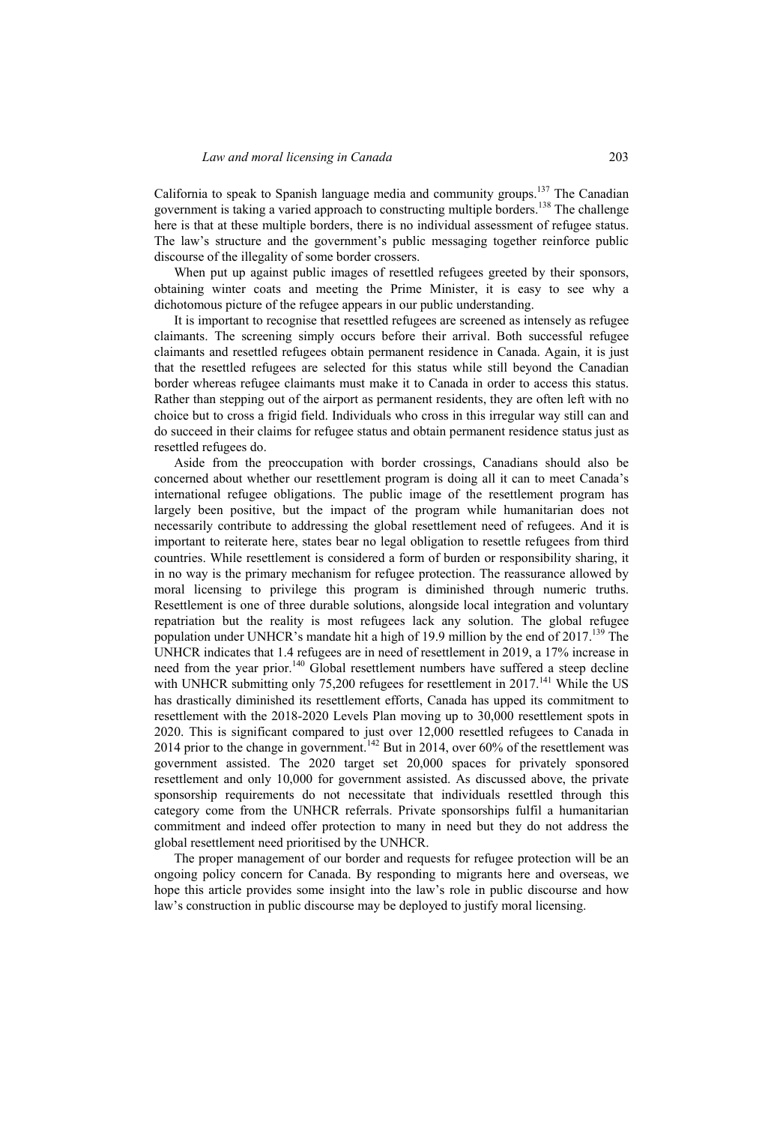California to speak to Spanish language media and community groups.137 The Canadian government is taking a varied approach to constructing multiple borders.138 The challenge here is that at these multiple borders, there is no individual assessment of refugee status. The law's structure and the government's public messaging together reinforce public discourse of the illegality of some border crossers.

When put up against public images of resettled refugees greeted by their sponsors, obtaining winter coats and meeting the Prime Minister, it is easy to see why a dichotomous picture of the refugee appears in our public understanding.

It is important to recognise that resettled refugees are screened as intensely as refugee claimants. The screening simply occurs before their arrival. Both successful refugee claimants and resettled refugees obtain permanent residence in Canada. Again, it is just that the resettled refugees are selected for this status while still beyond the Canadian border whereas refugee claimants must make it to Canada in order to access this status. Rather than stepping out of the airport as permanent residents, they are often left with no choice but to cross a frigid field. Individuals who cross in this irregular way still can and do succeed in their claims for refugee status and obtain permanent residence status just as resettled refugees do.

Aside from the preoccupation with border crossings, Canadians should also be concerned about whether our resettlement program is doing all it can to meet Canada's international refugee obligations. The public image of the resettlement program has largely been positive, but the impact of the program while humanitarian does not necessarily contribute to addressing the global resettlement need of refugees. And it is important to reiterate here, states bear no legal obligation to resettle refugees from third countries. While resettlement is considered a form of burden or responsibility sharing, it in no way is the primary mechanism for refugee protection. The reassurance allowed by moral licensing to privilege this program is diminished through numeric truths. Resettlement is one of three durable solutions, alongside local integration and voluntary repatriation but the reality is most refugees lack any solution. The global refugee population under UNHCR's mandate hit a high of 19.9 million by the end of  $2017$ <sup> $139$ </sup> The UNHCR indicates that 1.4 refugees are in need of resettlement in 2019, a 17% increase in need from the year prior.<sup>140</sup> Global resettlement numbers have suffered a steep decline with UNHCR submitting only 75,200 refugees for resettlement in 2017.<sup>141</sup> While the US has drastically diminished its resettlement efforts, Canada has upped its commitment to resettlement with the 2018-2020 Levels Plan moving up to 30,000 resettlement spots in 2020. This is significant compared to just over 12,000 resettled refugees to Canada in 2014 prior to the change in government.<sup>142</sup> But in 2014, over 60% of the resettlement was government assisted. The 2020 target set 20,000 spaces for privately sponsored resettlement and only 10,000 for government assisted. As discussed above, the private sponsorship requirements do not necessitate that individuals resettled through this category come from the UNHCR referrals. Private sponsorships fulfil a humanitarian commitment and indeed offer protection to many in need but they do not address the global resettlement need prioritised by the UNHCR.

The proper management of our border and requests for refugee protection will be an ongoing policy concern for Canada. By responding to migrants here and overseas, we hope this article provides some insight into the law's role in public discourse and how law's construction in public discourse may be deployed to justify moral licensing.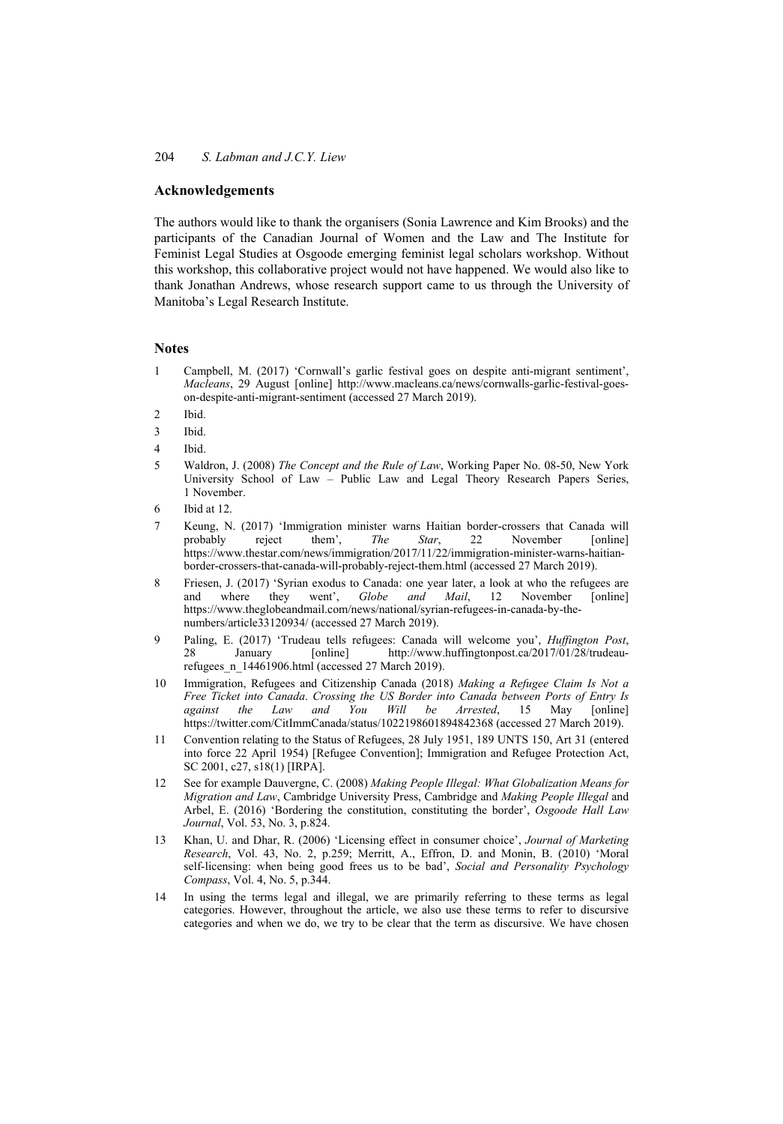#### **Acknowledgements**

The authors would like to thank the organisers (Sonia Lawrence and Kim Brooks) and the participants of the Canadian Journal of Women and the Law and The Institute for Feminist Legal Studies at Osgoode emerging feminist legal scholars workshop. Without this workshop, this collaborative project would not have happened. We would also like to thank Jonathan Andrews, whose research support came to us through the University of Manitoba's Legal Research Institute.

## **Notes**

- 1 Campbell, M. (2017) 'Cornwall's garlic festival goes on despite anti-migrant sentiment', *Macleans*, 29 August [online] http://www.macleans.ca/news/cornwalls-garlic-festival-goeson-despite-anti-migrant-sentiment (accessed 27 March 2019).
- 2 Ibid.
- 3 Ibid.
- 4 Ibid.
- 5 Waldron, J. (2008) *The Concept and the Rule of Law*, Working Paper No. 08-50, New York University School of Law – Public Law and Legal Theory Research Papers Series, 1 November.
- 6 Ibid at 12.
- 7 Keung, N. (2017) 'Immigration minister warns Haitian border-crossers that Canada will<br>probably reject them', *The Star*, 22 November [online] reject them', *The Star*, 22 November [online] https://www.thestar.com/news/immigration/2017/11/22/immigration-minister-warns-haitianborder-crossers-that-canada-will-probably-reject-them.html (accessed 27 March 2019).
- 8 Friesen, J. (2017) 'Syrian exodus to Canada: one year later, a look at who the refugees are and where they went', *Globe and Mail*, 12 November [online] and where they went', *Globe and Mail*, 12 November [online] https://www.theglobeandmail.com/news/national/syrian-refugees-in-canada-by-thenumbers/article33120934/ (accessed 27 March 2019).
- 9 Paling, E. (2017) 'Trudeau tells refugees: Canada will welcome you', *Huffington Post*, 28 January [online] http://www.huffingtonpost.ca/2017/01/28/trudeaurefugees\_n\_14461906.html (accessed 27 March 2019).
- 10 Immigration, Refugees and Citizenship Canada (2018) *Making a Refugee Claim Is Not a Free Ticket into Canada*. *Crossing the US Border into Canada between Ports of Entry Is against the Law and You Will be Arrested*, 15 May [online] https://twitter.com/CitImmCanada/status/1022198601894842368 (accessed 27 March 2019).
- 11 Convention relating to the Status of Refugees, 28 July 1951, 189 UNTS 150, Art 31 (entered into force 22 April 1954) [Refugee Convention]; Immigration and Refugee Protection Act, SC 2001, c27, s18(1) [IRPA].
- 12 See for example Dauvergne, C. (2008) *Making People Illegal: What Globalization Means for Migration and Law*, Cambridge University Press, Cambridge and *Making People Illegal* and Arbel, E. (2016) 'Bordering the constitution, constituting the border', *Osgoode Hall Law Journal*, Vol. 53, No. 3, p.824.
- 13 Khan, U. and Dhar, R. (2006) 'Licensing effect in consumer choice', *Journal of Marketing Research*, Vol. 43, No. 2, p.259; Merritt, A., Effron, D. and Monin, B. (2010) 'Moral self-licensing: when being good frees us to be bad', *Social and Personality Psychology Compass*, Vol. 4, No. 5, p.344.
- 14 In using the terms legal and illegal, we are primarily referring to these terms as legal categories. However, throughout the article, we also use these terms to refer to discursive categories and when we do, we try to be clear that the term as discursive. We have chosen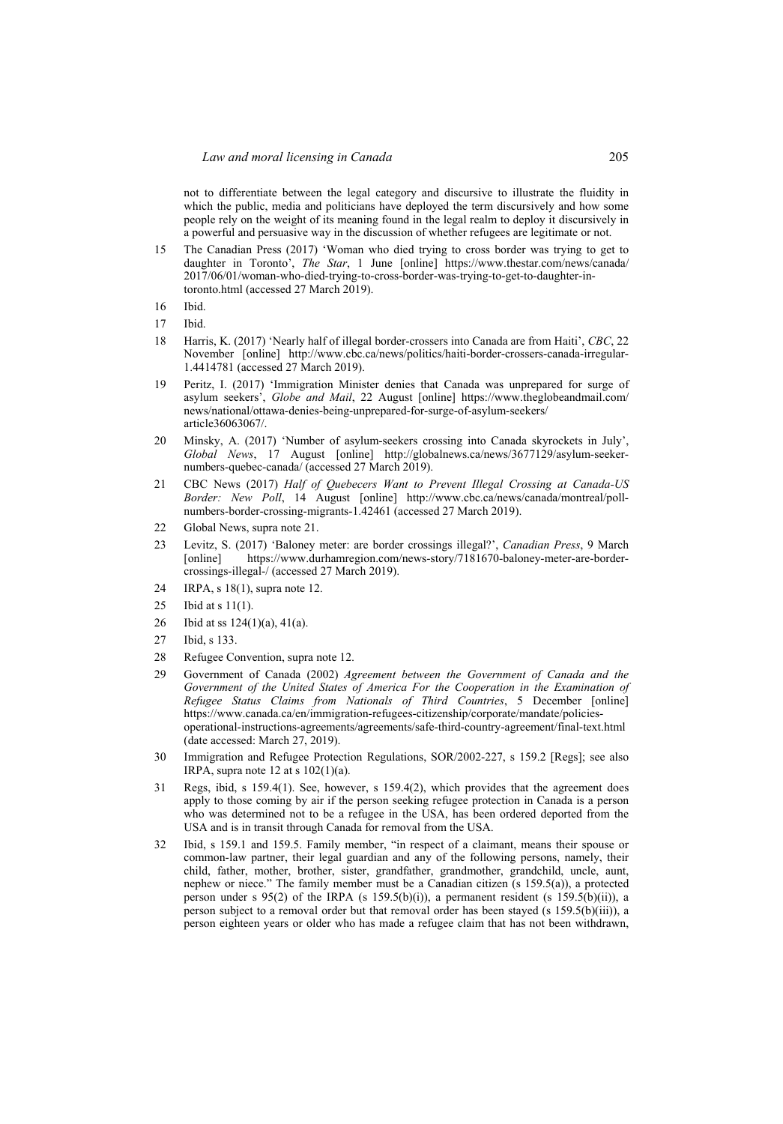## *Law and moral licensing in Canada* 205

not to differentiate between the legal category and discursive to illustrate the fluidity in which the public, media and politicians have deployed the term discursively and how some people rely on the weight of its meaning found in the legal realm to deploy it discursively in a powerful and persuasive way in the discussion of whether refugees are legitimate or not.

- 15 The Canadian Press (2017) 'Woman who died trying to cross border was trying to get to daughter in Toronto', *The Star*, 1 June [online] https://www.thestar.com/news/canada/ 2017/06/01/woman-who-died-trying-to-cross-border-was-trying-to-get-to-daughter-intoronto.html (accessed 27 March 2019).
- 16 Ibid.
- 17 Ibid.
- 18 Harris, K. (2017) 'Nearly half of illegal border-crossers into Canada are from Haiti', *CBC*, 22 November [online] http://www.cbc.ca/news/politics/haiti-border-crossers-canada-irregular-1.4414781 (accessed 27 March 2019).
- 19 Peritz, I. (2017) 'Immigration Minister denies that Canada was unprepared for surge of asylum seekers', *Globe and Mail*, 22 August [online] https://www.theglobeandmail.com/ news/national/ottawa-denies-being-unprepared-for-surge-of-asylum-seekers/ article36063067/.
- 20 Minsky, A. (2017) 'Number of asylum-seekers crossing into Canada skyrockets in July', *Global News*, 17 August [online] http://globalnews.ca/news/3677129/asylum-seekernumbers-quebec-canada/ (accessed 27 March 2019).
- 21 CBC News (2017) *Half of Quebecers Want to Prevent Illegal Crossing at Canada-US Border: New Poll*, 14 August [online] http://www.cbc.ca/news/canada/montreal/pollnumbers-border-crossing-migrants-1.42461 (accessed 27 March 2019).
- 22 Global News, supra note 21.
- 23 Levitz, S. (2017) 'Baloney meter: are border crossings illegal?', *Canadian Press*, 9 March [online] https://www.durhamregion.com/news-story/7181670-baloney-meter-are-bordercrossings-illegal-/ (accessed 27 March 2019).
- 24 IRPA, s 18(1), supra note 12.
- 25 Ibid at s 11(1).
- 26 Ibid at ss 124(1)(a), 41(a).
- 27 Ibid, s 133.
- 28 Refugee Convention, supra note 12.
- 29 Government of Canada (2002) *Agreement between the Government of Canada and the*  Government of the United States of America For the Cooperation in the Examination of *Refugee Status Claims from Nationals of Third Countries*, 5 December [online] https://www.canada.ca/en/immigration-refugees-citizenship/corporate/mandate/policiesoperational-instructions-agreements/agreements/safe-third-country-agreement/final-text.html (date accessed: March 27, 2019).
- 30 Immigration and Refugee Protection Regulations, SOR/2002-227, s 159.2 [Regs]; see also IRPA, supra note  $12$  at s  $102(1)(a)$ .
- 31 Regs, ibid, s 159.4(1). See, however, s 159.4(2), which provides that the agreement does apply to those coming by air if the person seeking refugee protection in Canada is a person who was determined not to be a refugee in the USA, has been ordered deported from the USA and is in transit through Canada for removal from the USA.
- 32 Ibid, s 159.1 and 159.5. Family member, "in respect of a claimant, means their spouse or common-law partner, their legal guardian and any of the following persons, namely, their child, father, mother, brother, sister, grandfather, grandmother, grandchild, uncle, aunt, nephew or niece." The family member must be a Canadian citizen (s 159.5(a)), a protected person under s  $95(2)$  of the IRPA (s 159.5(b)(i)), a permanent resident (s 159.5(b)(ii)), a person subject to a removal order but that removal order has been stayed (s 159.5(b)(iii)), a person eighteen years or older who has made a refugee claim that has not been withdrawn,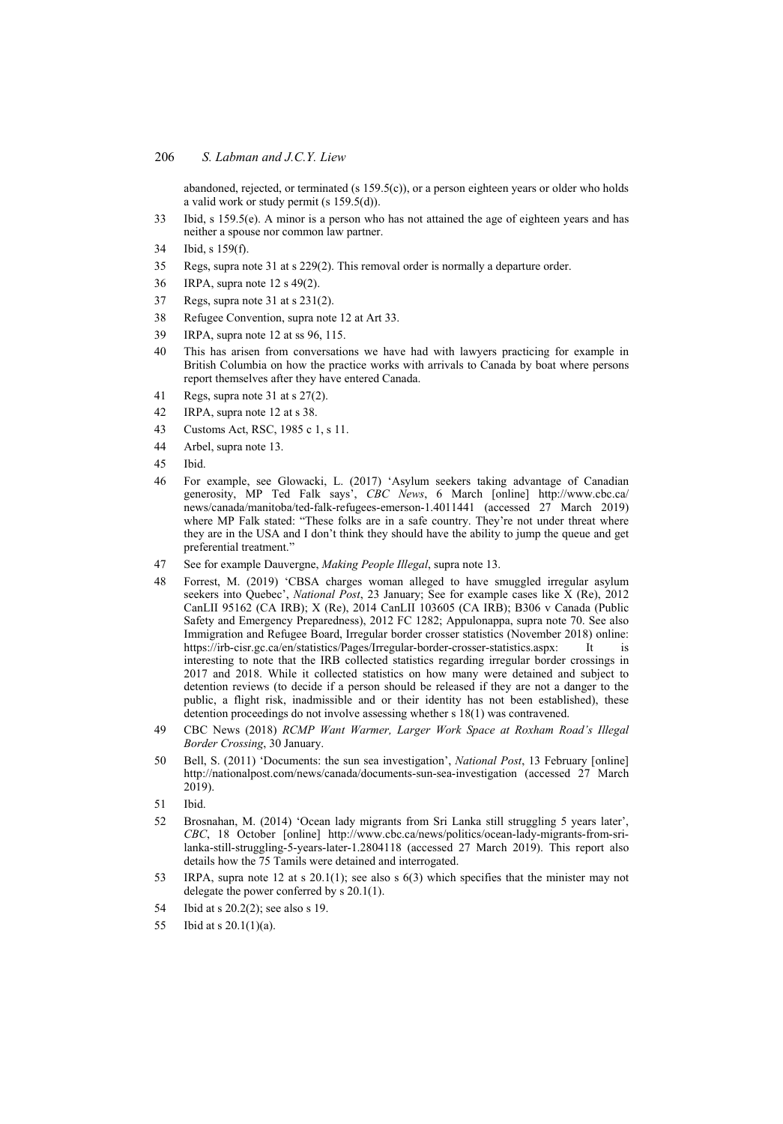abandoned, rejected, or terminated (s  $159.5(c)$ ), or a person eighteen years or older who holds a valid work or study permit (s 159.5(d)).

- 33 Ibid, s 159.5(e). A minor is a person who has not attained the age of eighteen years and has neither a spouse nor common law partner.
- 34 Ibid, s 159(f).
- 35 Regs, supra note 31 at s 229(2). This removal order is normally a departure order.
- 36 IRPA, supra note 12 s 49(2).
- 37 Regs, supra note 31 at s 231(2).
- 38 Refugee Convention, supra note 12 at Art 33.
- 39 IRPA, supra note 12 at ss 96, 115.
- 40 This has arisen from conversations we have had with lawyers practicing for example in British Columbia on how the practice works with arrivals to Canada by boat where persons report themselves after they have entered Canada.
- 41 Regs, supra note 31 at s 27(2).
- 42 IRPA, supra note 12 at s 38.
- 43 Customs Act, RSC, 1985 c 1, s 11.
- 44 Arbel, supra note 13.
- 45 Ibid.
- 46 For example, see Glowacki, L. (2017) 'Asylum seekers taking advantage of Canadian generosity, MP Ted Falk says', *CBC News*, 6 March [online] http://www.cbc.ca/ news/canada/manitoba/ted-falk-refugees-emerson-1.4011441 (accessed 27 March 2019) where MP Falk stated: "These folks are in a safe country. They're not under threat where they are in the USA and I don't think they should have the ability to jump the queue and get preferential treatment."
- 47 See for example Dauvergne, *Making People Illegal*, supra note 13.
- 48 Forrest, M. (2019) 'CBSA charges woman alleged to have smuggled irregular asylum seekers into Quebec', *National Post*, 23 January; See for example cases like X (Re), 2012 CanLII 95162 (CA IRB); X (Re), 2014 CanLII 103605 (CA IRB); B306 v Canada (Public Safety and Emergency Preparedness), 2012 FC 1282; Appulonappa, supra note 70. See also Immigration and Refugee Board, Irregular border crosser statistics (November 2018) online: https://irb-cisr.gc.ca/en/statistics/Pages/Irregular-border-crosser-statistics.aspx: It interesting to note that the IRB collected statistics regarding irregular border crossings in 2017 and 2018. While it collected statistics on how many were detained and subject to detention reviews (to decide if a person should be released if they are not a danger to the public, a flight risk, inadmissible and or their identity has not been established), these detention proceedings do not involve assessing whether s 18(1) was contravened.
- 49 CBC News (2018) *RCMP Want Warmer, Larger Work Space at Roxham Road's Illegal Border Crossing*, 30 January.
- 50 Bell, S. (2011) 'Documents: the sun sea investigation', *National Post*, 13 February [online] http://nationalpost.com/news/canada/documents-sun-sea-investigation (accessed 27 March 2019).
- 51 Ibid.
- 52 Brosnahan, M. (2014) 'Ocean lady migrants from Sri Lanka still struggling 5 years later', *CBC*, 18 October [online] http://www.cbc.ca/news/politics/ocean-lady-migrants-from-srilanka-still-struggling-5-years-later-1.2804118 (accessed 27 March 2019). This report also details how the 75 Tamils were detained and interrogated.
- 53 IRPA, supra note 12 at s 20.1(1); see also s 6(3) which specifies that the minister may not delegate the power conferred by s 20.1(1).
- 54 Ibid at s 20.2(2); see also s 19.
- 55 Ibid at s 20.1(1)(a).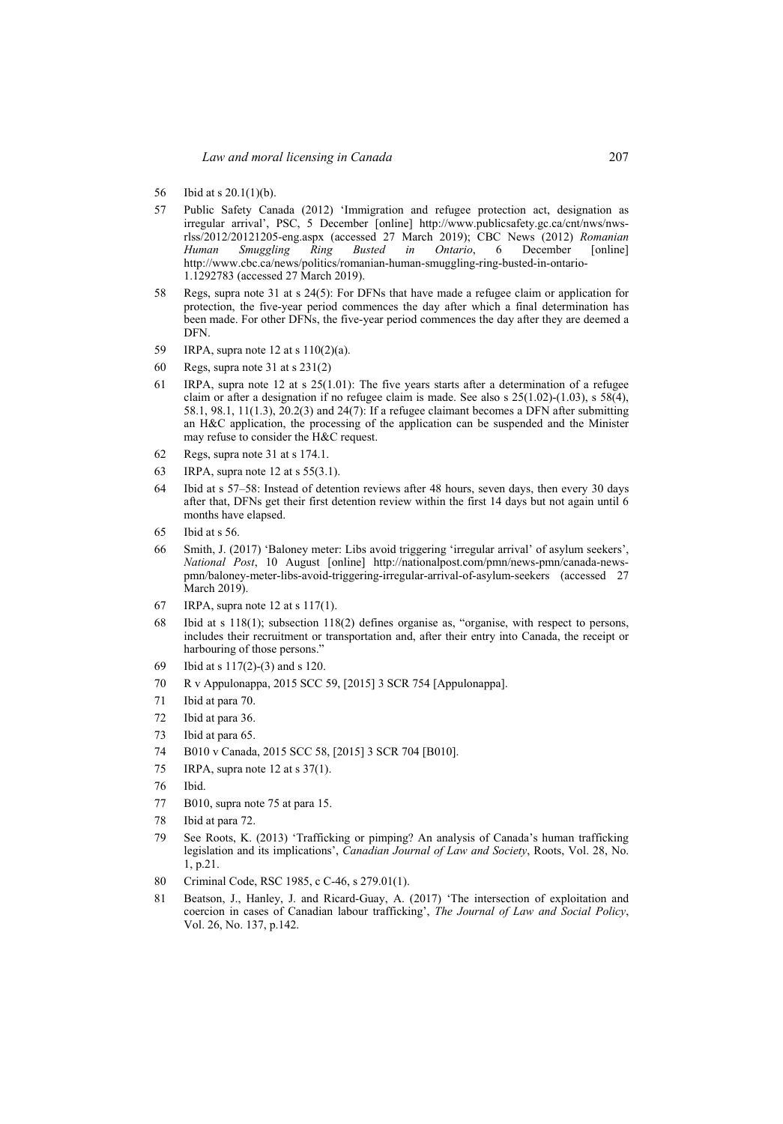- 56 Ibid at s 20.1(1)(b).
- 57 Public Safety Canada (2012) 'Immigration and refugee protection act, designation as irregular arrival', PSC, 5 December [online] http://www.publicsafety.gc.ca/cnt/nws/nwsrlss/2012/20121205-eng.aspx (accessed 27 March 2019); CBC News (2012) *Romanian Human Smuggling Ring Busted in Ontario*, 6 December [online] http://www.cbc.ca/news/politics/romanian-human-smuggling-ring-busted-in-ontario-1.1292783 (accessed 27 March 2019).
- 58 Regs, supra note 31 at s 24(5): For DFNs that have made a refugee claim or application for protection, the five-year period commences the day after which a final determination has been made. For other DFNs, the five-year period commences the day after they are deemed a DFN.
- 59 IRPA, supra note 12 at s 110(2)(a).
- 60 Regs, supra note 31 at s 231(2)
- 61 IRPA, supra note 12 at s 25(1.01): The five years starts after a determination of a refugee claim or after a designation if no refugee claim is made. See also s  $25(1.02)-(1.03)$ , s  $58(4)$ , 58.1, 98.1, 11(1.3), 20.2(3) and 24(7): If a refugee claimant becomes a DFN after submitting an H&C application, the processing of the application can be suspended and the Minister may refuse to consider the H&C request.
- 62 Regs, supra note 31 at s 174.1.
- 63 IRPA, supra note 12 at s 55(3.1).
- 64 Ibid at s 57–58: Instead of detention reviews after 48 hours, seven days, then every 30 days after that, DFNs get their first detention review within the first 14 days but not again until 6 months have elapsed.
- 65 Ibid at s 56.
- 66 Smith, J. (2017) 'Baloney meter: Libs avoid triggering 'irregular arrival' of asylum seekers', *National Post*, 10 August [online] http://nationalpost.com/pmn/news-pmn/canada-newspmn/baloney-meter-libs-avoid-triggering-irregular-arrival-of-asylum-seekers (accessed 27 March 2019).
- 67 IRPA, supra note 12 at s 117(1).
- 68 Ibid at s 118(1); subsection 118(2) defines organise as, "organise, with respect to persons, includes their recruitment or transportation and, after their entry into Canada, the receipt or harbouring of those persons."
- 69 Ibid at s 117(2)-(3) and s 120.
- 70 R v Appulonappa, 2015 SCC 59, [2015] 3 SCR 754 [Appulonappa].
- 71 Ibid at para 70.
- 72 Ibid at para 36.
- 73 Ibid at para 65.
- 74 B010 v Canada, 2015 SCC 58, [2015] 3 SCR 704 [B010].
- 75 IRPA, supra note 12 at s 37(1).
- 76 Ibid.
- 77 B010, supra note 75 at para 15.
- 78 Ibid at para 72.
- 79 See Roots, K. (2013) 'Trafficking or pimping? An analysis of Canada's human trafficking legislation and its implications', *Canadian Journal of Law and Society*, Roots, Vol. 28, No. 1, p.21.
- 80 Criminal Code, RSC 1985, c C-46, s 279.01(1).
- 81 Beatson, J., Hanley, J. and Ricard-Guay, A. (2017) 'The intersection of exploitation and coercion in cases of Canadian labour trafficking', *The Journal of Law and Social Policy*, Vol. 26, No. 137, p.142.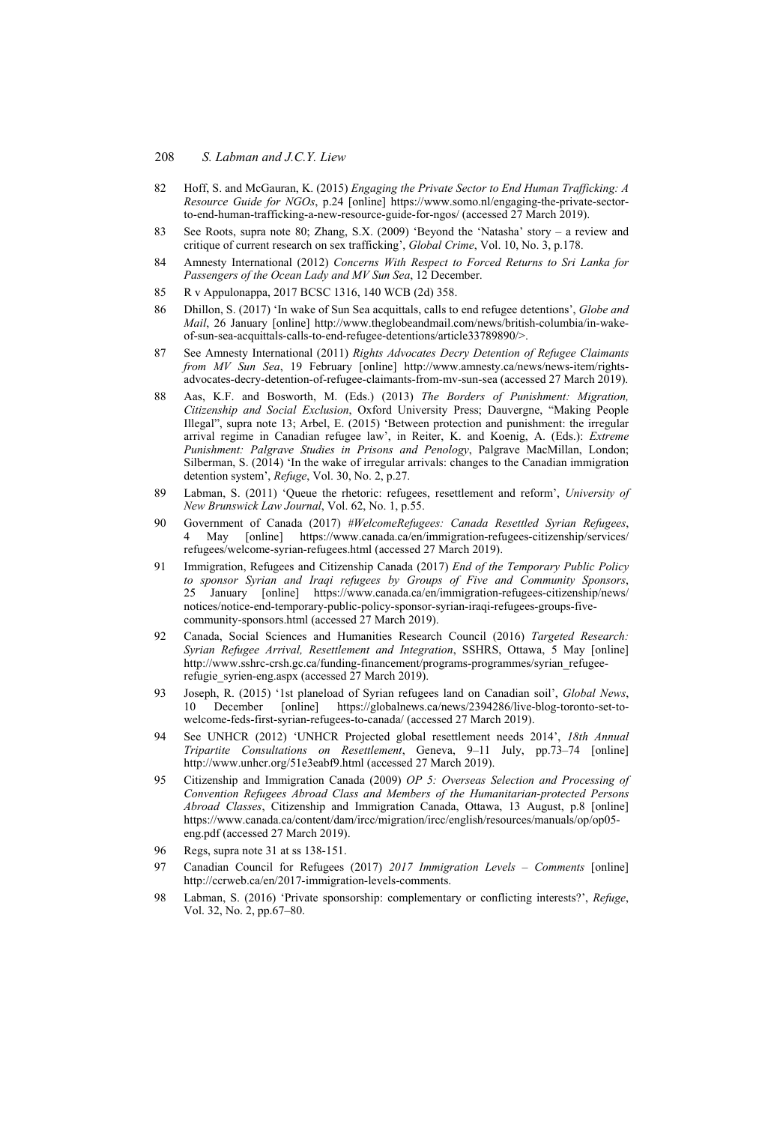- 82 Hoff, S. and McGauran, K. (2015) *Engaging the Private Sector to End Human Trafficking: A Resource Guide for NGOs*, p.24 [online] https://www.somo.nl/engaging-the-private-sectorto-end-human-trafficking-a-new-resource-guide-for-ngos/ (accessed 27 March 2019).
- 83 See Roots, supra note 80; Zhang, S.X. (2009) 'Beyond the 'Natasha' story a review and critique of current research on sex trafficking', *Global Crime*, Vol. 10, No. 3, p.178.
- 84 Amnesty International (2012) *Concerns With Respect to Forced Returns to Sri Lanka for Passengers of the Ocean Lady and MV Sun Sea*, 12 December.
- 85 R v Appulonappa, 2017 BCSC 1316, 140 WCB (2d) 358.
- 86 Dhillon, S. (2017) 'In wake of Sun Sea acquittals, calls to end refugee detentions', *Globe and Mail*, 26 January [online] http://www.theglobeandmail.com/news/british-columbia/in-wakeof-sun-sea-acquittals-calls-to-end-refugee-detentions/article33789890/>.
- 87 See Amnesty International (2011) *Rights Advocates Decry Detention of Refugee Claimants from MV Sun Sea*, 19 February [online] http://www.amnesty.ca/news/news-item/rightsadvocates-decry-detention-of-refugee-claimants-from-mv-sun-sea (accessed 27 March 2019).
- 88 Aas, K.F. and Bosworth, M. (Eds.) (2013) *The Borders of Punishment: Migration, Citizenship and Social Exclusion*, Oxford University Press; Dauvergne, "Making People Illegal", supra note 13; Arbel, E. (2015) 'Between protection and punishment: the irregular arrival regime in Canadian refugee law', in Reiter, K. and Koenig, A. (Eds.): *Extreme Punishment: Palgrave Studies in Prisons and Penology*, Palgrave MacMillan, London; Silberman, S. (2014) 'In the wake of irregular arrivals: changes to the Canadian immigration detention system', *Refuge*, Vol. 30, No. 2, p.27.
- 89 Labman, S. (2011) 'Queue the rhetoric: refugees, resettlement and reform', *University of New Brunswick Law Journal*, Vol. 62, No. 1, p.55.
- 90 Government of Canada (2017) *#WelcomeRefugees: Canada Resettled Syrian Refugees*, May [online] https://www.canada.ca/en/immigration-refugees-citizenship/services/ refugees/welcome-syrian-refugees.html (accessed 27 March 2019).
- 91 Immigration, Refugees and Citizenship Canada (2017) *End of the Temporary Public Policy to sponsor Syrian and Iraqi refugees by Groups of Five and Community Sponsors*, January [online] https://www.canada.ca/en/immigration-refugees-citizenship/news/ notices/notice-end-temporary-public-policy-sponsor-syrian-iraqi-refugees-groups-fivecommunity-sponsors.html (accessed 27 March 2019).
- 92 Canada, Social Sciences and Humanities Research Council (2016) *Targeted Research: Syrian Refugee Arrival, Resettlement and Integration*, SSHRS, Ottawa, 5 May [online] http://www.sshrc-crsh.gc.ca/funding-financement/programs-programmes/syrian\_refugeerefugie\_syrien-eng.aspx (accessed 27 March 2019).
- 93 Joseph, R. (2015) '1st planeload of Syrian refugees land on Canadian soil', *Global News*, 10 December [online] https://globalnews.ca/news/2394286/live-blog-toronto-set-towelcome-feds-first-syrian-refugees-to-canada/ (accessed 27 March 2019).
- 94 See UNHCR (2012) 'UNHCR Projected global resettlement needs 2014', *18th Annual Tripartite Consultations on Resettlement*, Geneva, 9–11 July, pp.73–74 [online] http://www.unhcr.org/51e3eabf9.html (accessed 27 March 2019).
- 95 Citizenship and Immigration Canada (2009) *OP 5: Overseas Selection and Processing of Convention Refugees Abroad Class and Members of the Humanitarian-protected Persons Abroad Classes*, Citizenship and Immigration Canada, Ottawa, 13 August, p.8 [online] https://www.canada.ca/content/dam/ircc/migration/ircc/english/resources/manuals/op/op05 eng.pdf (accessed 27 March 2019).
- 96 Regs, supra note 31 at ss 138-151.
- 97 Canadian Council for Refugees (2017) *2017 Immigration Levels Comments* [online] http://ccrweb.ca/en/2017-immigration-levels-comments.
- 98 Labman, S. (2016) 'Private sponsorship: complementary or conflicting interests?', *Refuge*, Vol. 32, No. 2, pp.67–80.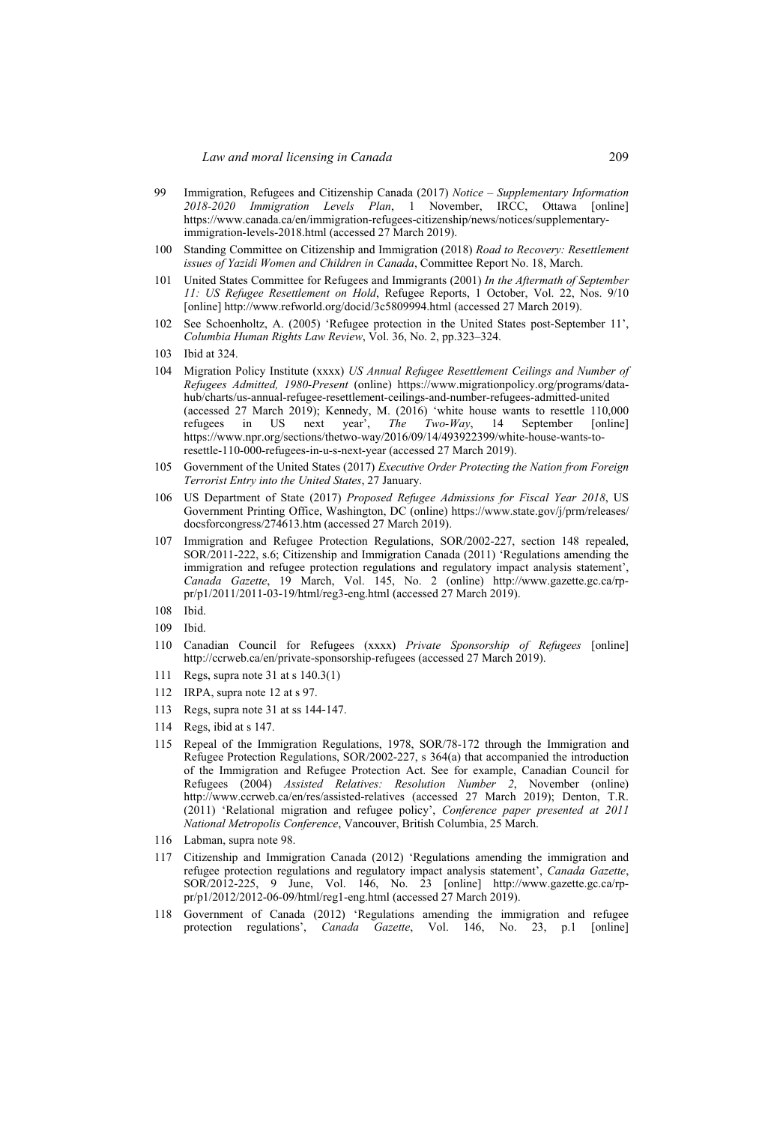- 99 Immigration, Refugees and Citizenship Canada (2017) *Notice Supplementary Information 2018-2020 Immigration Levels Plan*, 1 November, IRCC, Ottawa [online] https://www.canada.ca/en/immigration-refugees-citizenship/news/notices/supplementaryimmigration-levels-2018.html (accessed 27 March 2019).
- 100 Standing Committee on Citizenship and Immigration (2018) *Road to Recovery: Resettlement issues of Yazidi Women and Children in Canada*, Committee Report No. 18, March.
- 101 United States Committee for Refugees and Immigrants (2001) *In the Aftermath of September 11: US Refugee Resettlement on Hold*, Refugee Reports, 1 October, Vol. 22, Nos. 9/10 [online] http://www.refworld.org/docid/3c5809994.html (accessed 27 March 2019).
- 102 See Schoenholtz, A. (2005) 'Refugee protection in the United States post-September 11', *Columbia Human Rights Law Review*, Vol. 36, No. 2, pp.323–324.
- 103 Ibid at 324.
- 104 Migration Policy Institute (xxxx) *US Annual Refugee Resettlement Ceilings and Number of Refugees Admitted, 1980-Present* (online) https://www.migrationpolicy.org/programs/datahub/charts/us-annual-refugee-resettlement-ceilings-and-number-refugees-admitted-united (accessed 27 March 2019); Kennedy, M. (2016) 'white house wants to resettle 110,000 refugees in US next year', *The Two-Way*, 14 September [online] *Two-Way*, 14 September [online] https://www.npr.org/sections/thetwo-way/2016/09/14/493922399/white-house-wants-toresettle-110-000-refugees-in-u-s-next-year (accessed 27 March 2019).
- 105 Government of the United States (2017) *Executive Order Protecting the Nation from Foreign Terrorist Entry into the United States*, 27 January.
- 106 US Department of State (2017) *Proposed Refugee Admissions for Fiscal Year 2018*, US Government Printing Office, Washington, DC (online) https://www.state.gov/j/prm/releases/ docsforcongress/274613.htm (accessed 27 March 2019).
- 107 Immigration and Refugee Protection Regulations, SOR/2002-227, section 148 repealed, SOR/2011-222, s.6; Citizenship and Immigration Canada (2011) 'Regulations amending the immigration and refugee protection regulations and regulatory impact analysis statement', *Canada Gazette*, 19 March, Vol. 145, No. 2 (online) http://www.gazette.gc.ca/rppr/p1/2011/2011-03-19/html/reg3-eng.html (accessed 27 March 2019).
- 108 Ibid.
- 109 Ibid.
- 110 Canadian Council for Refugees (xxxx) *Private Sponsorship of Refugees* [online] http://ccrweb.ca/en/private-sponsorship-refugees (accessed 27 March 2019).
- 111 Regs, supra note 31 at s 140.3(1)
- 112 IRPA, supra note 12 at s 97.
- 113 Regs, supra note 31 at ss 144-147.
- 114 Regs, ibid at s 147.
- 115 Repeal of the Immigration Regulations, 1978, SOR/78-172 through the Immigration and Refugee Protection Regulations, SOR/2002-227, s 364(a) that accompanied the introduction of the Immigration and Refugee Protection Act. See for example, Canadian Council for Refugees (2004) *Assisted Relatives: Resolution Number 2*, November (online) http://www.ccrweb.ca/en/res/assisted-relatives (accessed 27 March 2019); Denton, T.R. (2011) 'Relational migration and refugee policy', *Conference paper presented at 2011 National Metropolis Conference*, Vancouver, British Columbia, 25 March.
- 116 Labman, supra note 98.
- 117 Citizenship and Immigration Canada (2012) 'Regulations amending the immigration and refugee protection regulations and regulatory impact analysis statement', *Canada Gazette*,  $SOR/2012-225$ , 9 June, Vol. 146, No. 23 [online] http://www.gazette.gc.ca/rppr/p1/2012/2012-06-09/html/reg1-eng.html (accessed 27 March 2019).
- 118 Government of Canada (2012) 'Regulations amending the immigration and refugee protection regulations', *Canada Gazette*, Vol. 146, No. 23, p.1 [online]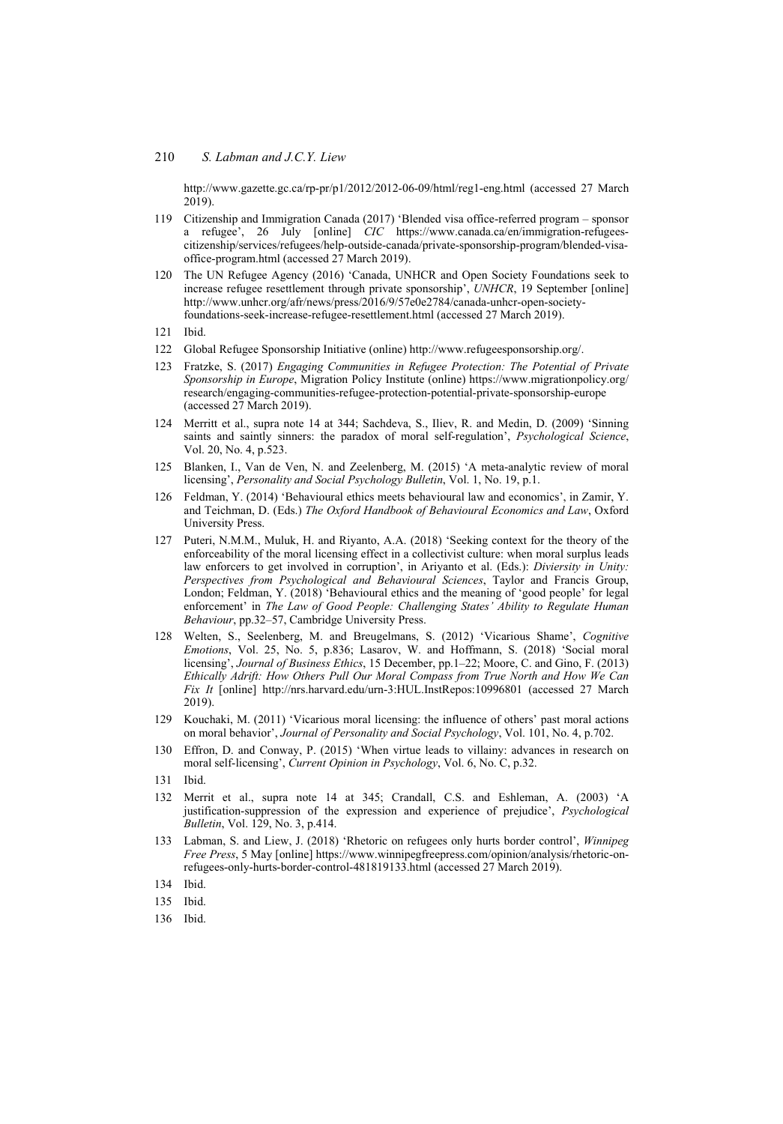http://www.gazette.gc.ca/rp-pr/p1/2012/2012-06-09/html/reg1-eng.html (accessed 27 March 2019).

- 119 Citizenship and Immigration Canada (2017) 'Blended visa office-referred program sponsor a refugee', 26 July [online] *CIC* https://www.canada.ca/en/immigration-refugeescitizenship/services/refugees/help-outside-canada/private-sponsorship-program/blended-visaoffice-program.html (accessed 27 March 2019).
- 120 The UN Refugee Agency (2016) 'Canada, UNHCR and Open Society Foundations seek to increase refugee resettlement through private sponsorship', *UNHCR*, 19 September [online] http://www.unhcr.org/afr/news/press/2016/9/57e0e2784/canada-unhcr-open-societyfoundations-seek-increase-refugee-resettlement.html (accessed 27 March 2019).
- 121 Ibid.
- 122 Global Refugee Sponsorship Initiative (online) http://www.refugeesponsorship.org/.
- 123 Fratzke, S. (2017) *Engaging Communities in Refugee Protection: The Potential of Private Sponsorship in Europe*, Migration Policy Institute (online) https://www.migrationpolicy.org/ research/engaging-communities-refugee-protection-potential-private-sponsorship-europe (accessed 27 March 2019).
- 124 Merritt et al., supra note 14 at 344; Sachdeva, S., Iliev, R. and Medin, D. (2009) 'Sinning saints and saintly sinners: the paradox of moral self-regulation', *Psychological Science*, Vol. 20, No. 4, p.523.
- 125 Blanken, I., Van de Ven, N. and Zeelenberg, M. (2015) 'A meta-analytic review of moral licensing', *Personality and Social Psychology Bulletin*, Vol. 1, No. 19, p.1.
- 126 Feldman, Y. (2014) 'Behavioural ethics meets behavioural law and economics', in Zamir, Y. and Teichman, D. (Eds.) *The Oxford Handbook of Behavioural Economics and Law*, Oxford University Press.
- 127 Puteri, N.M.M., Muluk, H. and Riyanto, A.A. (2018) 'Seeking context for the theory of the enforceability of the moral licensing effect in a collectivist culture: when moral surplus leads law enforcers to get involved in corruption', in Ariyanto et al. (Eds.): *Diviersity in Unity: Perspectives from Psychological and Behavioural Sciences*, Taylor and Francis Group, London; Feldman, Y. (2018) 'Behavioural ethics and the meaning of 'good people' for legal enforcement' in *The Law of Good People: Challenging States' Ability to Regulate Human Behaviour*, pp.32–57, Cambridge University Press.
- 128 Welten, S., Seelenberg, M. and Breugelmans, S. (2012) 'Vicarious Shame', *Cognitive Emotions*, Vol. 25, No. 5, p.836; Lasarov, W. and Hoffmann, S. (2018) 'Social moral licensing', *Journal of Business Ethics*, 15 December, pp.1–22; Moore, C. and Gino, F. (2013) *Ethically Adrift: How Others Pull Our Moral Compass from True North and How We Can Fix It* [online] http://nrs.harvard.edu/urn-3:HUL.InstRepos:10996801 (accessed 27 March 2019).
- 129 Kouchaki, M. (2011) 'Vicarious moral licensing: the influence of others' past moral actions on moral behavior', *Journal of Personality and Social Psychology*, Vol. 101, No. 4, p.702.
- 130 Effron, D. and Conway, P. (2015) 'When virtue leads to villainy: advances in research on moral self-licensing', *Current Opinion in Psychology*, Vol. 6, No. C, p.32.
- 131 Ibid.
- 132 Merrit et al., supra note 14 at 345; Crandall, C.S. and Eshleman, A. (2003) 'A justification-suppression of the expression and experience of prejudice', *Psychological Bulletin*, Vol. 129, No. 3, p.414.
- 133 Labman, S. and Liew, J. (2018) 'Rhetoric on refugees only hurts border control', *Winnipeg Free Press*, 5 May [online] https://www.winnipegfreepress.com/opinion/analysis/rhetoric-onrefugees-only-hurts-border-control-481819133.html (accessed 27 March 2019).
- 134 Ibid.
- 135 Ibid.
- 136 Ibid.